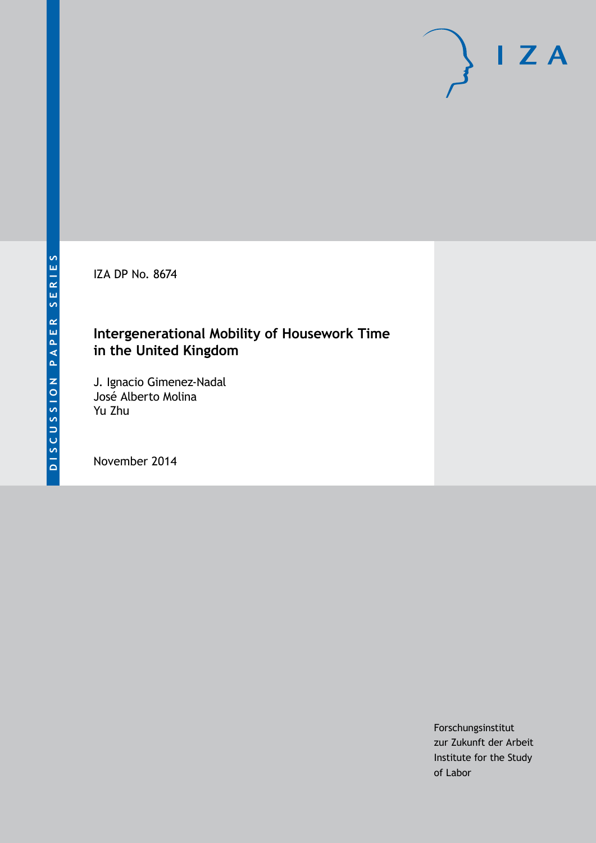IZA DP No. 8674

# **Intergenerational Mobility of Housework Time in the United Kingdom**

J. Ignacio Gimenez-Nadal José Alberto Molina Yu Zhu

November 2014

Forschungsinstitut zur Zukunft der Arbeit Institute for the Study of Labor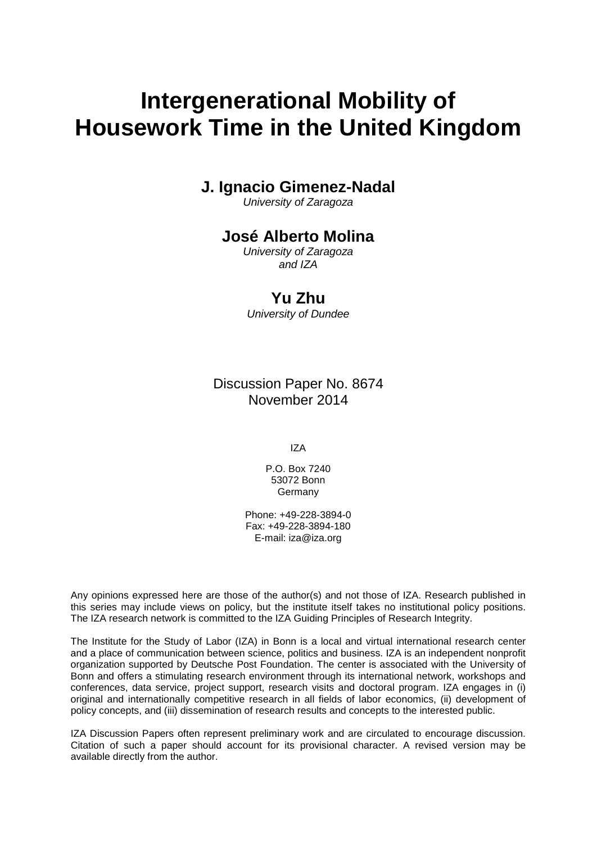# **Intergenerational Mobility of Housework Time in the United Kingdom**

# **J. Ignacio Gimenez-Nadal**

*University of Zaragoza*

# **José Alberto Molina**

*University of Zaragoza and IZA*

# **Yu Zhu**

*University of Dundee*

Discussion Paper No. 8674 November 2014

IZA

P.O. Box 7240 53072 Bonn **Germany** 

Phone: +49-228-3894-0 Fax: +49-228-3894-180 E-mail: [iza@iza.org](mailto:iza@iza.org)

Any opinions expressed here are those of the author(s) and not those of IZA. Research published in this series may include views on policy, but the institute itself takes no institutional policy positions. The IZA research network is committed to the IZA Guiding Principles of Research Integrity.

The Institute for the Study of Labor (IZA) in Bonn is a local and virtual international research center and a place of communication between science, politics and business. IZA is an independent nonprofit organization supported by Deutsche Post Foundation. The center is associated with the University of Bonn and offers a stimulating research environment through its international network, workshops and conferences, data service, project support, research visits and doctoral program. IZA engages in (i) original and internationally competitive research in all fields of labor economics, (ii) development of policy concepts, and (iii) dissemination of research results and concepts to the interested public.

<span id="page-1-0"></span>IZA Discussion Papers often represent preliminary work and are circulated to encourage discussion. Citation of such a paper should account for its provisional character. A revised version may be available directly from the author.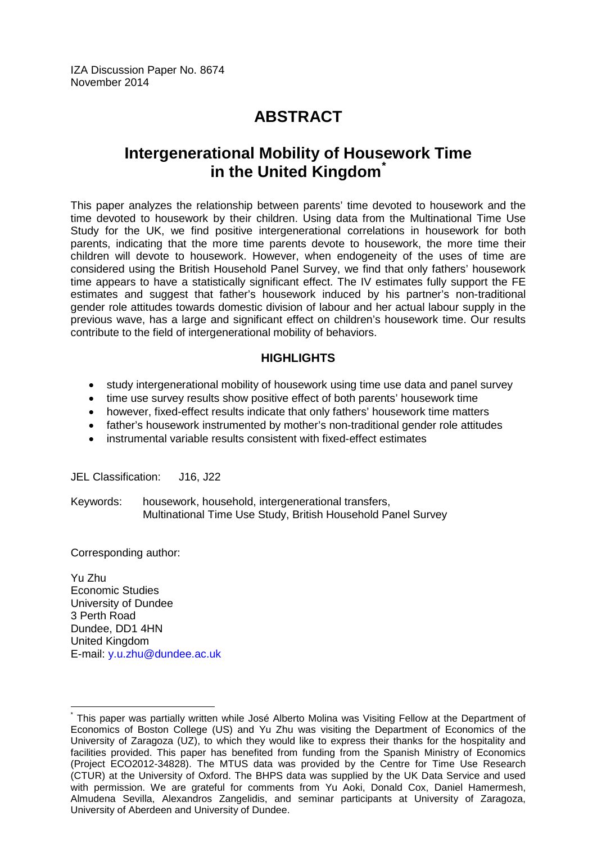IZA Discussion Paper No. 8674 November 2014

# **ABSTRACT**

# **Intergenerational Mobility of Housework Time in the United Kingdom[\\*](#page-1-0)**

This paper analyzes the relationship between parents' time devoted to housework and the time devoted to housework by their children. Using data from the Multinational Time Use Study for the UK, we find positive intergenerational correlations in housework for both parents, indicating that the more time parents devote to housework, the more time their children will devote to housework. However, when endogeneity of the uses of time are considered using the British Household Panel Survey, we find that only fathers' housework time appears to have a statistically significant effect. The IV estimates fully support the FE estimates and suggest that father's housework induced by his partner's non-traditional gender role attitudes towards domestic division of labour and her actual labour supply in the previous wave, has a large and significant effect on children's housework time. Our results contribute to the field of intergenerational mobility of behaviors.

#### **HIGHLIGHTS**

- study intergenerational mobility of housework using time use data and panel survey
- time use survey results show positive effect of both parents' housework time
- however, fixed-effect results indicate that only fathers' housework time matters
- father's housework instrumented by mother's non-traditional gender role attitudes
- instrumental variable results consistent with fixed-effect estimates

JEL Classification: J16, J22

Keywords: housework, household, intergenerational transfers, Multinational Time Use Study, British Household Panel Survey

Corresponding author:

Yu Zhu Economic Studies University of Dundee 3 Perth Road Dundee, DD1 4HN United Kingdom E-mail: [y.u.zhu@dundee.ac.uk](mailto:y.u.zhu@dundee.ac.uk)

\* This paper was partially written while José Alberto Molina was Visiting Fellow at the Department of Economics of Boston College (US) and Yu Zhu was visiting the Department of Economics of the University of Zaragoza (UZ), to which they would like to express their thanks for the hospitality and facilities provided. This paper has benefited from funding from the Spanish Ministry of Economics (Project ECO2012-34828). The MTUS data was provided by the Centre for Time Use Research (CTUR) at the University of Oxford. The BHPS data was supplied by the UK Data Service and used with permission. We are grateful for comments from Yu Aoki, Donald Cox, Daniel Hamermesh, Almudena Sevilla, Alexandros Zangelidis, and seminar participants at University of Zaragoza, University of Aberdeen and University of Dundee.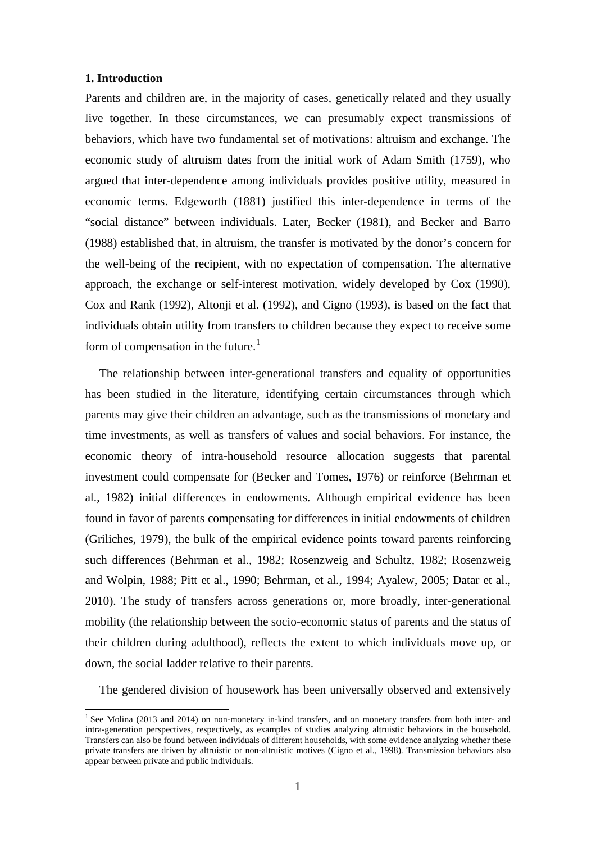#### **1. Introduction**

Parents and children are, in the majority of cases, genetically related and they usually live together. In these circumstances, we can presumably expect transmissions of behaviors, which have two fundamental set of motivations: altruism and exchange. The economic study of altruism dates from the initial work of Adam Smith (1759), who argued that inter-dependence among individuals provides positive utility, measured in economic terms. Edgeworth (1881) justified this inter-dependence in terms of the "social distance" between individuals. Later, Becker (1981), and Becker and Barro (1988) established that, in altruism, the transfer is motivated by the donor's concern for the well-being of the recipient, with no expectation of compensation. The alternative approach, the exchange or self-interest motivation, widely developed by Cox (1990), Cox and Rank (1992), Altonji et al. (1992), and Cigno (1993), is based on the fact that individuals obtain utility from transfers to children because they expect to receive some form of compensation in the future.<sup>1</sup>

The relationship between inter-generational transfers and equality of opportunities has been studied in the literature, identifying certain circumstances through which parents may give their children an advantage, such as the transmissions of monetary and time investments, as well as transfers of values and social behaviors. For instance, the economic theory of intra-household resource allocation suggests that parental investment could compensate for [\(Becker and Tomes, 1976\)](http://www.ncbi.nlm.nih.gov/pmc/articles/PMC3000015/#b6-dem-47-0145) or reinforce [\(Behrman](http://www.ncbi.nlm.nih.gov/pmc/articles/PMC3000015/#b8-dem-47-0145) et [al., 1982\)](http://www.ncbi.nlm.nih.gov/pmc/articles/PMC3000015/#b8-dem-47-0145) initial differences in endowments. Although empirical evidence has been found in favor of parents compensating for differences in initial endowments of children (Griliches, 1979), the bulk of the empirical evidence points toward parents reinforcing such differences [\(Behrman et al., 1982;](http://www.ncbi.nlm.nih.gov/pmc/articles/PMC3000015/#b8-dem-47-0145) [Rosenzweig and Schultz, 1982;](http://www.ncbi.nlm.nih.gov/pmc/articles/PMC3000015/#b36-dem-47-0145) [Rosenzweig](http://www.ncbi.nlm.nih.gov/pmc/articles/PMC3000015/#b37-dem-47-0145)  [and Wolpin, 1988;](http://www.ncbi.nlm.nih.gov/pmc/articles/PMC3000015/#b37-dem-47-0145) Pitt [et al., 1990;](http://www.ncbi.nlm.nih.gov/pmc/articles/PMC3000015/#b34-dem-47-0145) Behrman, et al., 1994; [Ayalew, 2005;](http://www.ncbi.nlm.nih.gov/pmc/articles/PMC3000015/#b3-dem-47-0145) Datar et al., 2010). The study of transfers across generations or, more broadly, inter-generational mobility (the relationship between the socio-economic status of parents and the status of their children during adulthood), reflects the extent to which individuals move up, or down, the social ladder relative to their parents.

<span id="page-3-0"></span>The gendered division of housework has been universally observed and extensively

<sup>&</sup>lt;sup>1</sup> See Molina (2013 and 2014) on non-monetary in-kind transfers, and on monetary transfers from both inter- and intra-generation perspectives, respectively, as examples of studies analyzing altruistic behaviors in the household. Transfers can also be found between individuals of different households, with some evidence analyzing whether these private transfers are driven by altruistic or non-altruistic motives (Cigno et al., 1998). Transmission behaviors also appear between private and public individuals.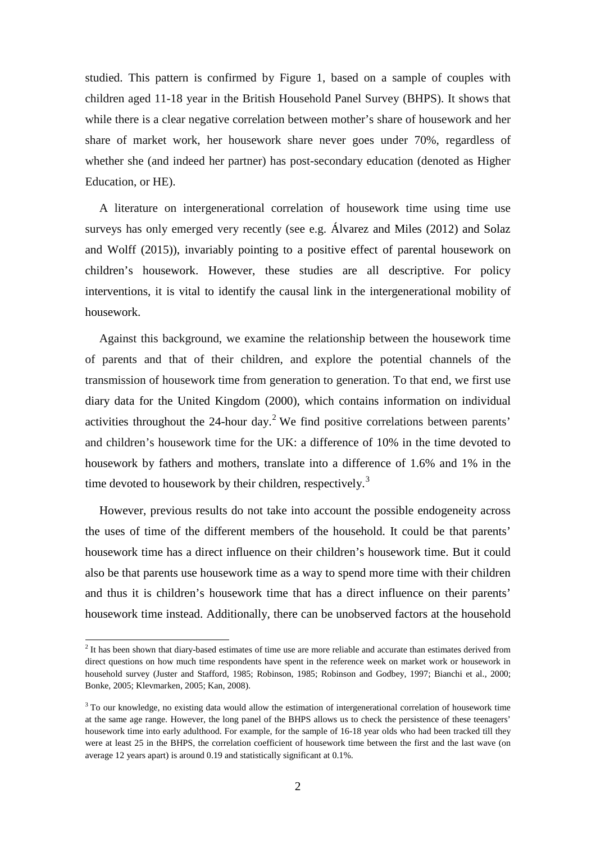studied. This pattern is confirmed by Figure 1, based on a sample of couples with children aged 11-18 year in the British Household Panel Survey (BHPS). It shows that while there is a clear negative correlation between mother's share of housework and her share of market work, her housework share never goes under 70%, regardless of whether she (and indeed her partner) has post-secondary education (denoted as Higher Education, or HE).

A literature on intergenerational correlation of housework time using time use surveys has only emerged very recently (see e.g. Álvarez and Miles (2012) and Solaz and Wolff (2015)), invariably pointing to a positive effect of parental housework on children's housework. However, these studies are all descriptive. For policy interventions, it is vital to identify the causal link in the intergenerational mobility of housework.

Against this background, we examine the relationship between the housework time of parents and that of their children, and explore the potential channels of the transmission of housework time from generation to generation. To that end, we first use diary data for the United Kingdom (2000), which contains information on individual activities throughout the [2](#page-3-0)4-hour day.<sup>2</sup> We find positive correlations between parents' and children's housework time for the UK: a difference of 10% in the time devoted to housework by fathers and mothers, translate into a difference of 1.6% and 1% in the time devoted to housework by their children, respectively.<sup>[3](#page-4-0)</sup>

However, previous results do not take into account the possible endogeneity across the uses of time of the different members of the household. It could be that parents' housework time has a direct influence on their children's housework time. But it could also be that parents use housework time as a way to spend more time with their children and thus it is children's housework time that has a direct influence on their parents' housework time instead. Additionally, there can be unobserved factors at the household

<sup>&</sup>lt;sup>2</sup> It has been shown that diary-based estimates of time use are more reliable and accurate than estimates derived from direct questions on how much time respondents have spent in the reference week on market work or housework in household survey (Juster and Stafford, 1985; Robinson, 1985; Robinson and Godbey, 1997; Bianchi et al., 2000; Bonke, 2005; Klevmarken, 2005; Kan, 2008).

<span id="page-4-1"></span><span id="page-4-0"></span><sup>&</sup>lt;sup>3</sup> To our knowledge, no existing data would allow the estimation of intergenerational correlation of housework time at the same age range. However, the long panel of the BHPS allows us to check the persistence of these teenagers' housework time into early adulthood. For example, for the sample of 16-18 year olds who had been tracked till they were at least 25 in the BHPS, the correlation coefficient of housework time between the first and the last wave (on average 12 years apart) is around 0.19 and statistically significant at 0.1%.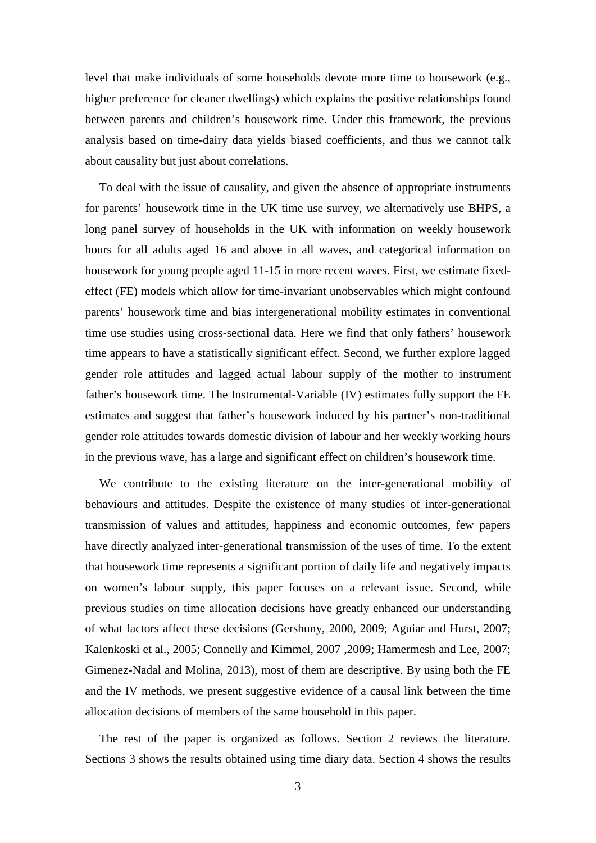level that make individuals of some households devote more time to housework (e.g., higher preference for cleaner dwellings) which explains the positive relationships found between parents and children's housework time. Under this framework, the previous analysis based on time-dairy data yields biased coefficients, and thus we cannot talk about causality but just about correlations.

To deal with the issue of causality, and given the absence of appropriate instruments for parents' housework time in the UK time use survey, we alternatively use BHPS, a long panel survey of households in the UK with information on weekly housework hours for all adults aged 16 and above in all waves, and categorical information on housework for young people aged 11-15 in more recent waves. First, we estimate fixedeffect (FE) models which allow for time-invariant unobservables which might confound parents' housework time and bias intergenerational mobility estimates in conventional time use studies using cross-sectional data. Here we find that only fathers' housework time appears to have a statistically significant effect. Second, we further explore lagged gender role attitudes and lagged actual labour supply of the mother to instrument father's housework time. The Instrumental-Variable (IV) estimates fully support the FE estimates and suggest that father's housework induced by his partner's non-traditional gender role attitudes towards domestic division of labour and her weekly working hours in the previous wave, has a large and significant effect on children's housework time.

We contribute to the existing literature on the inter-generational mobility of behaviours and attitudes. Despite the existence of many studies of inter-generational transmission of values and attitudes, happiness and economic outcomes, few papers have directly analyzed inter-generational transmission of the uses of time. To the extent that housework time represents a significant portion of daily life and negatively impacts on women's labour supply, this paper focuses on a relevant issue. Second, while previous studies on time allocation decisions have greatly enhanced our understanding of what factors affect these decisions (Gershuny, 2000, 2009; Aguiar and Hurst, 2007; Kalenkoski et al., 2005; Connelly and Kimmel, 2007 ,2009; Hamermesh and Lee, 2007; Gimenez-Nadal and Molina, 2013), most of them are descriptive. By using both the FE and the IV methods, we present suggestive evidence of a causal link between the time allocation decisions of members of the same household in this paper.

The rest of the paper is organized as follows. Section 2 reviews the literature. Sections 3 shows the results obtained using time diary data. Section 4 shows the results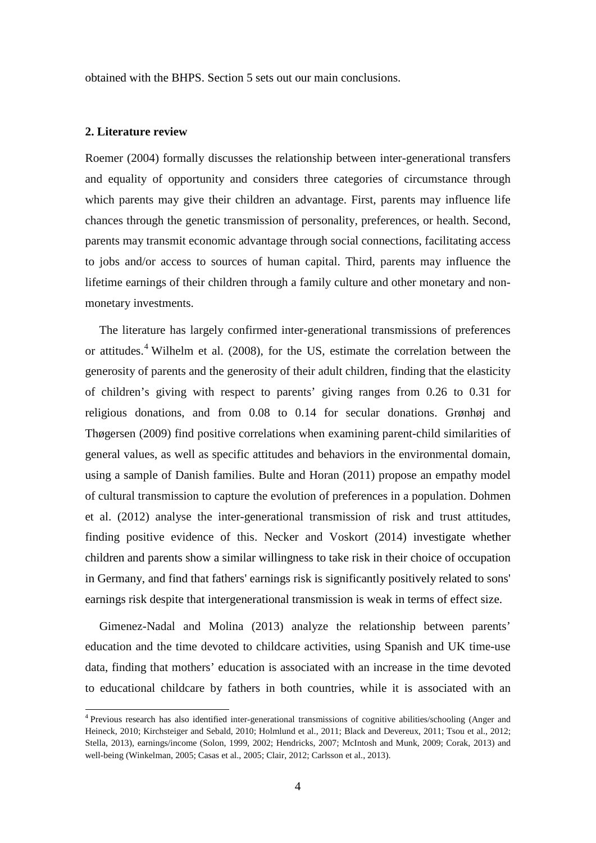obtained with the BHPS. Section 5 sets out our main conclusions.

#### **2. Literature review**

Roemer (2004) formally discusses the relationship between inter-generational transfers and equality of opportunity and considers three categories of circumstance through which parents may give their children an advantage. First, parents may influence life chances through the genetic transmission of personality, preferences, or health. Second, parents may transmit economic advantage through social connections, facilitating access to jobs and/or access to sources of human capital. Third, parents may influence the lifetime earnings of their children through a family culture and other monetary and nonmonetary investments.

The literature has largely confirmed inter-generational transmissions of preferences or attitudes. [4](#page-4-1) Wilhelm et al. (2008), for the US, estimate the correlation between the generosity of parents and the generosity of their adult children, finding that the elasticity of children's giving with respect to parents' giving ranges from 0.26 to 0.31 for religious donations, and from 0.08 to 0.14 for secular donations. Grønhøj and Thøgersen (2009) find positive correlations when examining parent-child similarities of general values, as well as specific attitudes and behaviors in the environmental domain, using a sample of Danish families. Bulte and Horan (2011) propose an empathy model of cultural transmission to capture the evolution of preferences in a population. Dohmen et al. (2012) analyse the inter-generational transmission of risk and trust attitudes, finding positive evidence of this. Necker and Voskort (2014) investigate whether children and parents show a similar willingness to take risk in their choice of occupation in Germany, and find that fathers' earnings risk is significantly positively related to sons' earnings risk despite that intergenerational transmission is weak in terms of effect size.

Gimenez-Nadal and Molina (2013) analyze the relationship between parents' education and the time devoted to childcare activities, using Spanish and UK time-use data, finding that mothers' education is associated with an increase in the time devoted to educational childcare by fathers in both countries, while it is associated with an

<span id="page-6-0"></span> <sup>4</sup> Previous research has also identified inter-generational transmissions of cognitive abilities/schooling (Anger and Heineck, 2010; Kirchsteiger and Sebald, 2010; Holmlund et al., 2011; Black and Devereux, 2011; Tsou et al., 2012; Stella, 2013), earnings/income (Solon, 1999, 2002; Hendricks, 2007; McIntosh and Munk, 2009; Corak, 2013) and well-being (Winkelman, 2005; Casas et al., 2005; Clair, 2012; Carlsson et al., 2013).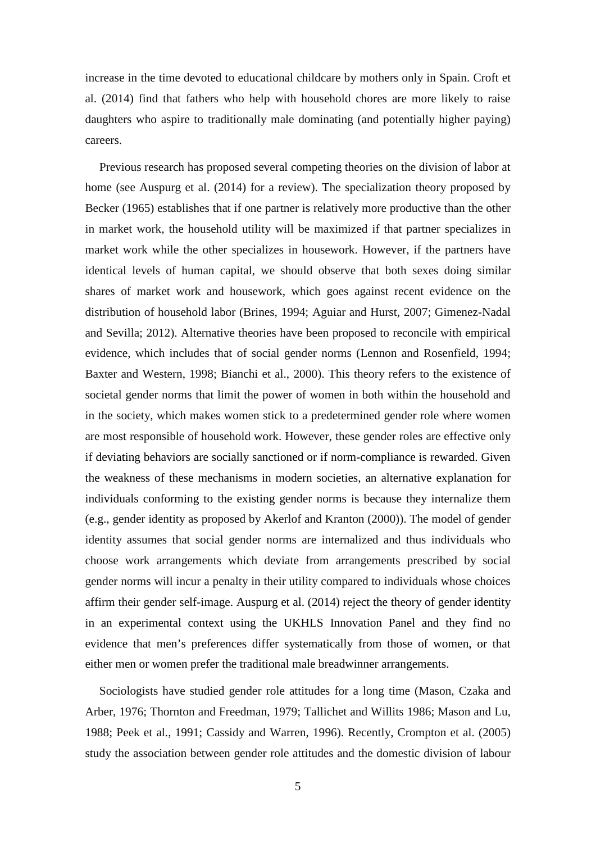increase in the time devoted to educational childcare by mothers only in Spain. Croft et al. (2014) find that fathers who help with household chores are more likely to raise daughters who aspire to traditionally male dominating (and potentially higher paying) careers.

Previous research has proposed several competing theories on the division of labor at home (see Auspurg et al. (2014) for a review). The specialization theory proposed by Becker (1965) establishes that if one partner is relatively more productive than the other in market work, the household utility will be maximized if that partner specializes in market work while the other specializes in housework. However, if the partners have identical levels of human capital, we should observe that both sexes doing similar shares of market work and housework, which goes against recent evidence on the distribution of household labor (Brines, 1994; Aguiar and Hurst, 2007; Gimenez-Nadal and Sevilla; 2012). Alternative theories have been proposed to reconcile with empirical evidence, which includes that of social gender norms (Lennon and Rosenfield, 1994; Baxter and Western, 1998; Bianchi et al., 2000). This theory refers to the existence of societal gender norms that limit the power of women in both within the household and in the society, which makes women stick to a predetermined gender role where women are most responsible of household work. However, these gender roles are effective only if deviating behaviors are socially sanctioned or if norm-compliance is rewarded. Given the weakness of these mechanisms in modern societies, an alternative explanation for individuals conforming to the existing gender norms is because they internalize them (e.g., gender identity as proposed by Akerlof and Kranton (2000)). The model of gender identity assumes that social gender norms are internalized and thus individuals who choose work arrangements which deviate from arrangements prescribed by social gender norms will incur a penalty in their utility compared to individuals whose choices affirm their gender self-image. Auspurg et al. (2014) reject the theory of gender identity in an experimental context using the UKHLS Innovation Panel and they find no evidence that men's preferences differ systematically from those of women, or that either men or women prefer the traditional male breadwinner arrangements.

Sociologists have studied gender role attitudes for a long time (Mason, Czaka and Arber, 1976; Thornton and Freedman, 1979; Tallichet and Willits 1986; Mason and Lu, 1988; Peek et al., 1991; Cassidy and Warren, 1996). Recently, Crompton et al. (2005) study the association between gender role attitudes and the domestic division of labour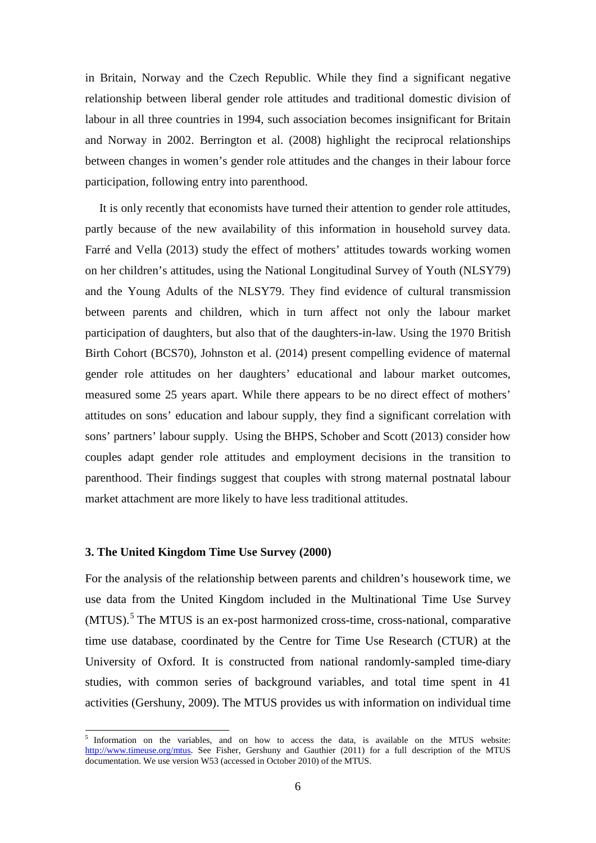in Britain, Norway and the Czech Republic. While they find a significant negative relationship between liberal gender role attitudes and traditional domestic division of labour in all three countries in 1994, such association becomes insignificant for Britain and Norway in 2002. Berrington et al. (2008) highlight the reciprocal relationships between changes in women's gender role attitudes and the changes in their labour force participation, following entry into parenthood.

It is only recently that economists have turned their attention to gender role attitudes, partly because of the new availability of this information in household survey data. Farré and Vella (2013) study the effect of mothers' attitudes towards working women on her children's attitudes, using the National Longitudinal Survey of Youth (NLSY79) and the Young Adults of the NLSY79. They find evidence of cultural transmission between parents and children, which in turn affect not only the labour market participation of daughters, but also that of the daughters-in-law. Using the 1970 British Birth Cohort (BCS70), Johnston et al. (2014) present compelling evidence of maternal gender role attitudes on her daughters' educational and labour market outcomes, measured some 25 years apart. While there appears to be no direct effect of mothers' attitudes on sons' education and labour supply, they find a significant correlation with sons' partners' labour supply. Using the BHPS, Schober and Scott (2013) consider how couples adapt gender role attitudes and employment decisions in the transition to parenthood. Their findings suggest that couples with strong maternal postnatal labour market attachment are more likely to have less traditional attitudes.

#### **3. The United Kingdom Time Use Survey (2000)**

For the analysis of the relationship between parents and children's housework time, we use data from the United Kingdom included in the Multinational Time Use Survey (MTUS).<sup>[5](#page-6-0)</sup> The MTUS is an ex-post harmonized cross-time, cross-national, comparative time use database, coordinated by the Centre for Time Use Research (CTUR) at the University of Oxford. It is constructed from national randomly-sampled time-diary studies, with common series of background variables, and total time spent in 41 activities (Gershuny, 2009). The MTUS provides us with information on individual time

<span id="page-8-0"></span><sup>&</sup>lt;sup>5</sup> Information on the variables, and on how to access the data, is available on the MTUS website: [http://www.timeuse.org/mtus.](http://www.timeuse.org/mtus) See Fisher, Gershuny and Gauthier (2011) for a full description of the MTUS documentation. We use version W53 (accessed in October 2010) of the MTUS.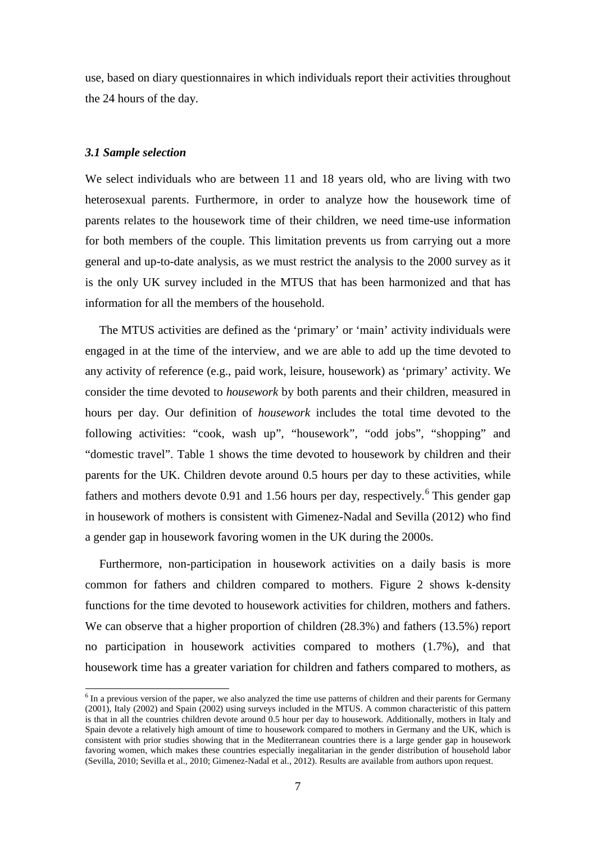use, based on diary questionnaires in which individuals report their activities throughout the 24 hours of the day.

#### *3.1 Sample selection*

We select individuals who are between 11 and 18 years old, who are living with two heterosexual parents. Furthermore, in order to analyze how the housework time of parents relates to the housework time of their children, we need time-use information for both members of the couple. This limitation prevents us from carrying out a more general and up-to-date analysis, as we must restrict the analysis to the 2000 survey as it is the only UK survey included in the MTUS that has been harmonized and that has information for all the members of the household.

The MTUS activities are defined as the 'primary' or 'main' activity individuals were engaged in at the time of the interview, and we are able to add up the time devoted to any activity of reference (e.g., paid work, leisure, housework) as 'primary' activity. We consider the time devoted to *housework* by both parents and their children, measured in hours per day. Our definition of *housework* includes the total time devoted to the following activities: "cook, wash up", "housework", "odd jobs", "shopping" and "domestic travel". Table 1 shows the time devoted to housework by children and their parents for the UK. Children devote around 0.5 hours per day to these activities, while fathers and mothers devote 0.91 and 1.5[6](#page-8-0) hours per day, respectively.<sup>6</sup> This gender gap in housework of mothers is consistent with Gimenez-Nadal and Sevilla (2012) who find a gender gap in housework favoring women in the UK during the 2000s.

Furthermore, non-participation in housework activities on a daily basis is more common for fathers and children compared to mothers. Figure 2 shows k-density functions for the time devoted to housework activities for children, mothers and fathers. We can observe that a higher proportion of children  $(28.3%)$  and fathers  $(13.5%)$  report no participation in housework activities compared to mothers (1.7%), and that housework time has a greater variation for children and fathers compared to mothers, as

<span id="page-9-0"></span><sup>&</sup>lt;sup>6</sup> In a previous version of the paper, we also analyzed the time use patterns of children and their parents for Germany (2001), Italy (2002) and Spain (2002) using surveys included in the MTUS. A common characteristic of this pattern is that in all the countries children devote around 0.5 hour per day to housework. Additionally, mothers in Italy and Spain devote a relatively high amount of time to housework compared to mothers in Germany and the UK, which is consistent with prior studies showing that in the Mediterranean countries there is a large gender gap in housework favoring women, which makes these countries especially inegalitarian in the gender distribution of household labor (Sevilla, 2010; Sevilla et al., 2010; Gimenez-Nadal et al., 2012). Results are available from authors upon request.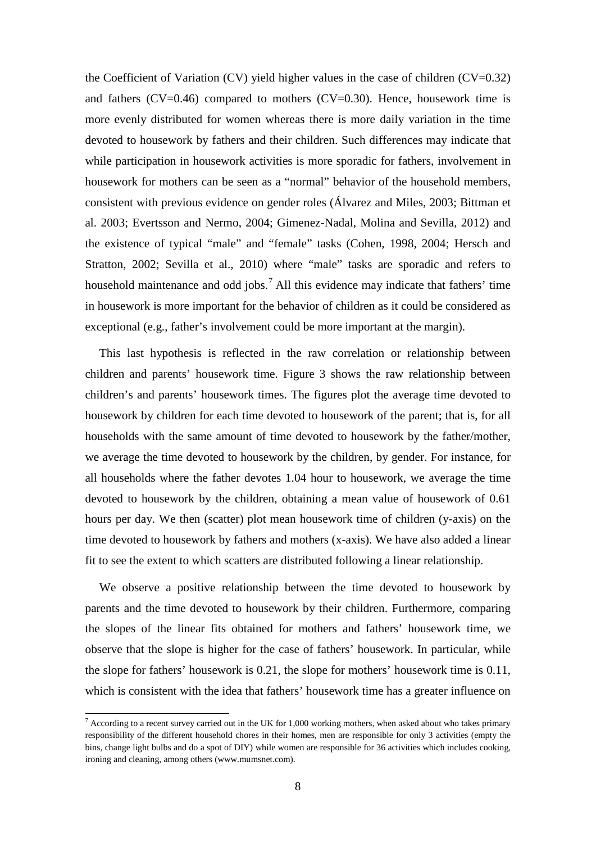the Coefficient of Variation  $(CV)$  yield higher values in the case of children  $(CV=0.32)$ and fathers  $(CV=0.46)$  compared to mothers  $(CV=0.30)$ . Hence, housework time is more evenly distributed for women whereas there is more daily variation in the time devoted to housework by fathers and their children. Such differences may indicate that while participation in housework activities is more sporadic for fathers, involvement in housework for mothers can be seen as a "normal" behavior of the household members, consistent with previous evidence on gender roles (Álvarez and Miles, 2003; Bittman et al. 2003; Evertsson and Nermo, 2004; Gimenez-Nadal, Molina and Sevilla, 2012) and the existence of typical "male" and "female" tasks (Cohen, 1998, 2004; Hersch and Stratton, 2002; Sevilla et al., 2010) where "male" tasks are sporadic and refers to household maintenance and odd jobs.<sup>[7](#page-9-0)</sup> All this evidence may indicate that fathers' time in housework is more important for the behavior of children as it could be considered as exceptional (e.g., father's involvement could be more important at the margin).

This last hypothesis is reflected in the raw correlation or relationship between children and parents' housework time. Figure 3 shows the raw relationship between children's and parents' housework times. The figures plot the average time devoted to housework by children for each time devoted to housework of the parent; that is, for all households with the same amount of time devoted to housework by the father/mother, we average the time devoted to housework by the children, by gender. For instance, for all households where the father devotes 1.04 hour to housework, we average the time devoted to housework by the children, obtaining a mean value of housework of 0.61 hours per day. We then (scatter) plot mean housework time of children (y-axis) on the time devoted to housework by fathers and mothers (x-axis). We have also added a linear fit to see the extent to which scatters are distributed following a linear relationship.

<span id="page-10-0"></span>We observe a positive relationship between the time devoted to housework by parents and the time devoted to housework by their children. Furthermore, comparing the slopes of the linear fits obtained for mothers and fathers' housework time, we observe that the slope is higher for the case of fathers' housework. In particular, while the slope for fathers' housework is 0.21, the slope for mothers' housework time is 0.11, which is consistent with the idea that fathers' housework time has a greater influence on

 $7$  According to a recent survey carried out in the UK for 1,000 working mothers, when asked about who takes primary responsibility of the different household chores in their homes, men are responsible for only 3 activities (empty the bins, change light bulbs and do a spot of DIY) while women are responsible for 36 activities which includes cooking, ironing and cleaning, among others (www.mumsnet.com).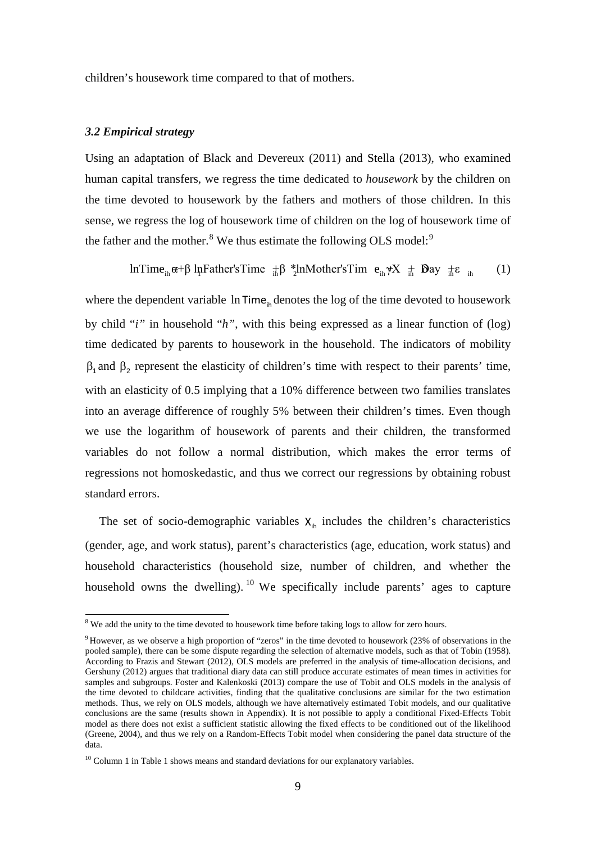children's housework time compared to that of mothers.

#### *3.2 Empirical strategy*

Using an adaptation of Black and Devereux (2011) and Stella (2013), who examined human capital transfers, we regress the time dedicated to *housework* by the children on the time devoted to housework by the fathers and mothers of those children. In this sense, we regress the log of housework time of children on the log of housework time of the father and the mother.<sup>[8](#page-10-0)</sup> We thus estimate the following OLS model:<sup>[9](#page-11-0)</sup>

InTime<sub>ih</sub>
$$
\alpha+\beta
$$
 InFather'sTime  $\pm \beta$  \*<sub>2</sub> InMother'sTime  $e_{ih} \gamma X \pm \text{Day } \pm \epsilon_{ih}$  (1)

where the dependent variable  $\ln \text{Time}_{\text{th}}$  denotes the log of the time devoted to housework by child "*i"* in household "*h"*, with this being expressed as a linear function of (log) time dedicated by parents to housework in the household. The indicators of mobility  $β_1$  and  $β_2$  represent the elasticity of children's time with respect to their parents' time, with an elasticity of 0.5 implying that a 10% difference between two families translates into an average difference of roughly 5% between their children's times. Even though we use the logarithm of housework of parents and their children, the transformed variables do not follow a normal distribution, which makes the error terms of regressions not homoskedastic, and thus we correct our regressions by obtaining robust standard errors.

The set of socio-demographic variables  $X_{i<sub>h</sub>}$  includes the children's characteristics (gender, age, and work status), parent's characteristics (age, education, work status) and household characteristics (household size, number of children, and whether the household owns the dwelling). <sup>[10](#page-11-1)</sup> We specifically include parents' ages to capture

<sup>&</sup>lt;sup>8</sup> We add the unity to the time devoted to housework time before taking logs to allow for zero hours.

<span id="page-11-0"></span> $9$  However, as we observe a high proportion of "zeros" in the time devoted to housework (23% of observations in the pooled sample), there can be some dispute regarding the selection of alternative models, such as that of Tobin (1958). According to Frazis and Stewart (2012), OLS models are preferred in the analysis of time-allocation decisions, and Gershuny (2012) argues that traditional diary data can still produce accurate estimates of mean times in activities for samples and subgroups. Foster and Kalenkoski (2013) compare the use of Tobit and OLS models in the analysis of the time devoted to childcare activities, finding that the qualitative conclusions are similar for the two estimation methods. Thus, we rely on OLS models, although we have alternatively estimated Tobit models, and our qualitative conclusions are the same (results shown in Appendix). It is not possible to apply a conditional Fixed-Effects Tobit model as there does not exist a sufficient statistic allowing the fixed effects to be conditioned out of the likelihood (Greene, 2004), and thus we rely on a Random-Effects Tobit model when considering the panel data structure of the data.

<span id="page-11-2"></span><span id="page-11-1"></span><sup>&</sup>lt;sup>10</sup> Column 1 in Table 1 shows means and standard deviations for our explanatory variables.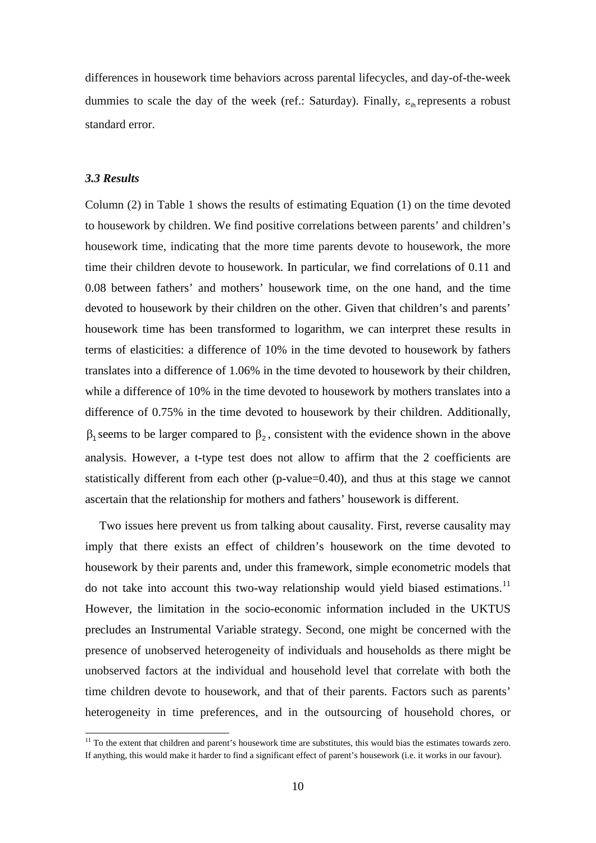differences in housework time behaviors across parental lifecycles, and day-of-the-week dummies to scale the day of the week (ref.: Saturday). Finally,  $\varepsilon_{\text{in}}$  represents a robust standard error.

#### *3.3 Results*

Column (2) in Table 1 shows the results of estimating Equation (1) on the time devoted to housework by children. We find positive correlations between parents' and children's housework time, indicating that the more time parents devote to housework, the more time their children devote to housework. In particular, we find correlations of 0.11 and 0.08 between fathers' and mothers' housework time, on the one hand, and the time devoted to housework by their children on the other. Given that children's and parents' housework time has been transformed to logarithm, we can interpret these results in terms of elasticities: a difference of 10% in the time devoted to housework by fathers translates into a difference of 1.06% in the time devoted to housework by their children, while a difference of 10% in the time devoted to housework by mothers translates into a difference of 0.75% in the time devoted to housework by their children. Additionally,  $β_1$  seems to be larger compared to  $β_2$ , consistent with the evidence shown in the above analysis. However, a t-type test does not allow to affirm that the 2 coefficients are statistically different from each other (p-value=0.40), and thus at this stage we cannot ascertain that the relationship for mothers and fathers' housework is different.

Two issues here prevent us from talking about causality. First, reverse causality may imply that there exists an effect of children's housework on the time devoted to housework by their parents and, under this framework, simple econometric models that do not take into account this two-way relationship would yield biased estimations.<sup>[11](#page-11-2)</sup> However, the limitation in the socio-economic information included in the UKTUS precludes an Instrumental Variable strategy. Second, one might be concerned with the presence of unobserved heterogeneity of individuals and households as there might be unobserved factors at the individual and household level that correlate with both the time children devote to housework, and that of their parents. Factors such as parents' heterogeneity in time preferences, and in the outsourcing of household chores, or

<span id="page-12-0"></span> $11$  To the extent that children and parent's housework time are substitutes, this would bias the estimates towards zero. If anything, this would make it harder to find a significant effect of parent's housework (i.e. it works in our favour).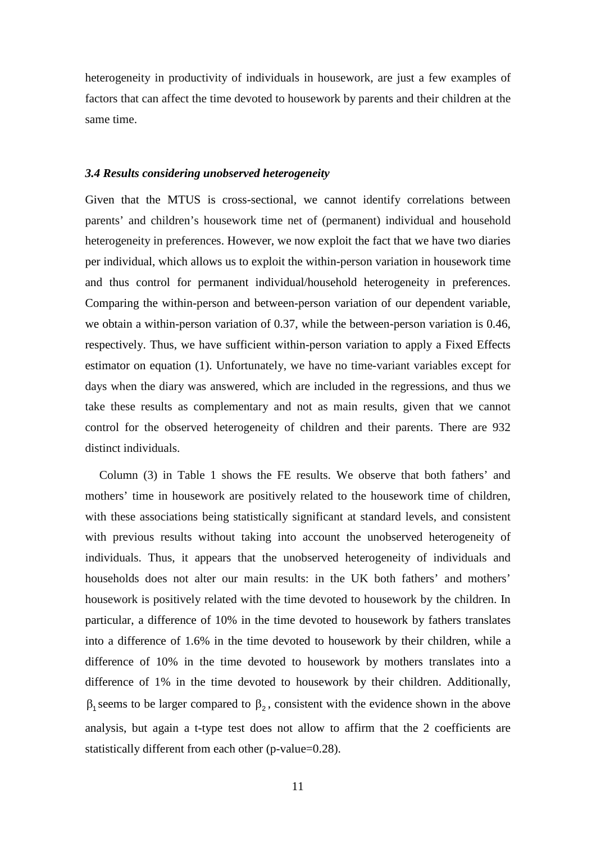heterogeneity in productivity of individuals in housework, are just a few examples of factors that can affect the time devoted to housework by parents and their children at the same time.

#### *3.4 Results considering unobserved heterogeneity*

Given that the MTUS is cross-sectional, we cannot identify correlations between parents' and children's housework time net of (permanent) individual and household heterogeneity in preferences. However, we now exploit the fact that we have two diaries per individual, which allows us to exploit the within-person variation in housework time and thus control for permanent individual/household heterogeneity in preferences. Comparing the within-person and between-person variation of our dependent variable, we obtain a within-person variation of 0.37, while the between-person variation is 0.46, respectively. Thus, we have sufficient within-person variation to apply a Fixed Effects estimator on equation (1). Unfortunately, we have no time-variant variables except for days when the diary was answered, which are included in the regressions, and thus we take these results as complementary and not as main results, given that we cannot control for the observed heterogeneity of children and their parents. There are 932 distinct individuals.

Column (3) in Table 1 shows the FE results. We observe that both fathers' and mothers' time in housework are positively related to the housework time of children, with these associations being statistically significant at standard levels, and consistent with previous results without taking into account the unobserved heterogeneity of individuals. Thus, it appears that the unobserved heterogeneity of individuals and households does not alter our main results: in the UK both fathers' and mothers' housework is positively related with the time devoted to housework by the children. In particular, a difference of 10% in the time devoted to housework by fathers translates into a difference of 1.6% in the time devoted to housework by their children, while a difference of 10% in the time devoted to housework by mothers translates into a difference of 1% in the time devoted to housework by their children. Additionally,  $β_1$  seems to be larger compared to  $β_2$ , consistent with the evidence shown in the above analysis, but again a t-type test does not allow to affirm that the 2 coefficients are statistically different from each other (p-value=0.28).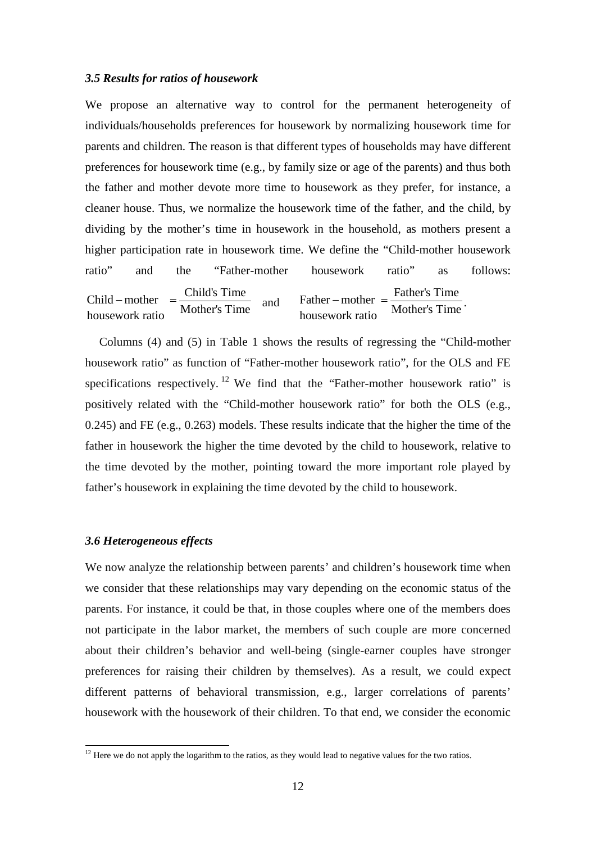#### *3.5 Results for ratios of housework*

We propose an alternative way to control for the permanent heterogeneity of individuals/households preferences for housework by normalizing housework time for parents and children. The reason is that different types of households may have different preferences for housework time (e.g., by family size or age of the parents) and thus both the father and mother devote more time to housework as they prefer, for instance, a cleaner house. Thus, we normalize the housework time of the father, and the child, by dividing by the mother's time in housework in the household, as mothers present a higher participation rate in housework time. We define the "Child-mother housework ratio" and the "Father-mother housework ratio" as follows: Child – mother  $=\frac{\text{Child's Time}}{\text{N}}$ Mother's Time housework ratio  $-\text{mother} = \frac{\text{Cind's Time}}{\text{Mother's Time}}$  and Father – mother =  $\frac{\text{Father's Time}}{\text{Mean} + \text{Time}}$ Mother's Time housework ratio  $-\text{mother} = \frac{\text{r} \cdot \text{after} \cdot \text{s} \cdot \text{time}}{\text{Mother's Time}}.$ 

Columns (4) and (5) in Table 1 shows the results of regressing the "Child-mother housework ratio" as function of "Father-mother housework ratio", for the OLS and FE specifications respectively. <sup>[12](#page-12-0)</sup> We find that the "Father-mother housework ratio" is positively related with the "Child-mother housework ratio" for both the OLS (e.g., 0.245) and FE (e.g., 0.263) models. These results indicate that the higher the time of the father in housework the higher the time devoted by the child to housework, relative to the time devoted by the mother, pointing toward the more important role played by father's housework in explaining the time devoted by the child to housework.

#### *3.6 Heterogeneous effects*

We now analyze the relationship between parents' and children's housework time when we consider that these relationships may vary depending on the economic status of the parents. For instance, it could be that, in those couples where one of the members does not participate in the labor market, the members of such couple are more concerned about their children's behavior and well-being (single-earner couples have stronger preferences for raising their children by themselves). As a result, we could expect different patterns of behavioral transmission, e.g., larger correlations of parents' housework with the housework of their children. To that end, we consider the economic

<span id="page-14-0"></span> $12$  Here we do not apply the logarithm to the ratios, as they would lead to negative values for the two ratios.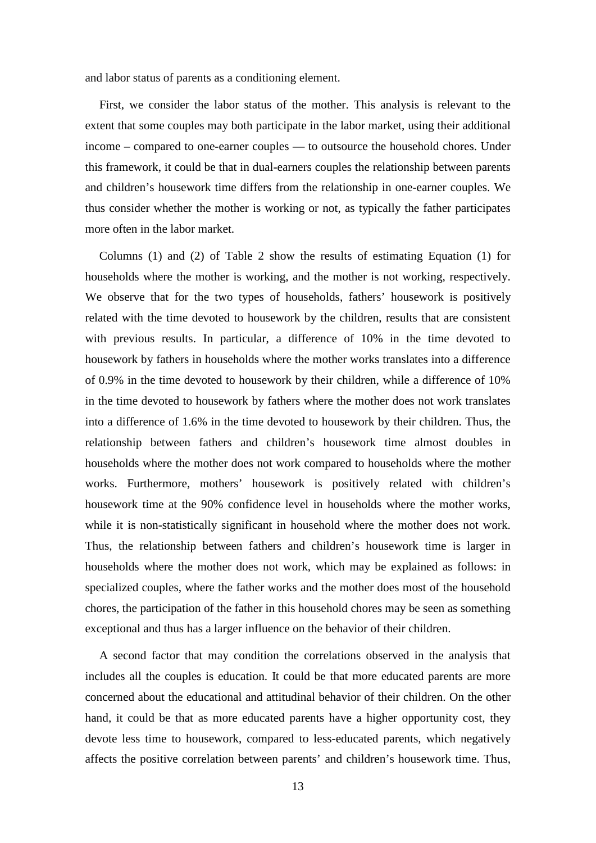and labor status of parents as a conditioning element.

First, we consider the labor status of the mother. This analysis is relevant to the extent that some couples may both participate in the labor market, using their additional income – compared to one-earner couples — to outsource the household chores. Under this framework, it could be that in dual-earners couples the relationship between parents and children's housework time differs from the relationship in one-earner couples. We thus consider whether the mother is working or not, as typically the father participates more often in the labor market.

Columns (1) and (2) of Table 2 show the results of estimating Equation (1) for households where the mother is working, and the mother is not working, respectively. We observe that for the two types of households, fathers' housework is positively related with the time devoted to housework by the children, results that are consistent with previous results. In particular, a difference of 10% in the time devoted to housework by fathers in households where the mother works translates into a difference of 0.9% in the time devoted to housework by their children, while a difference of 10% in the time devoted to housework by fathers where the mother does not work translates into a difference of 1.6% in the time devoted to housework by their children. Thus, the relationship between fathers and children's housework time almost doubles in households where the mother does not work compared to households where the mother works. Furthermore, mothers' housework is positively related with children's housework time at the 90% confidence level in households where the mother works, while it is non-statistically significant in household where the mother does not work. Thus, the relationship between fathers and children's housework time is larger in households where the mother does not work, which may be explained as follows: in specialized couples, where the father works and the mother does most of the household chores, the participation of the father in this household chores may be seen as something exceptional and thus has a larger influence on the behavior of their children.

A second factor that may condition the correlations observed in the analysis that includes all the couples is education. It could be that more educated parents are more concerned about the educational and attitudinal behavior of their children. On the other hand, it could be that as more educated parents have a higher opportunity cost, they devote less time to housework, compared to less-educated parents, which negatively affects the positive correlation between parents' and children's housework time. Thus,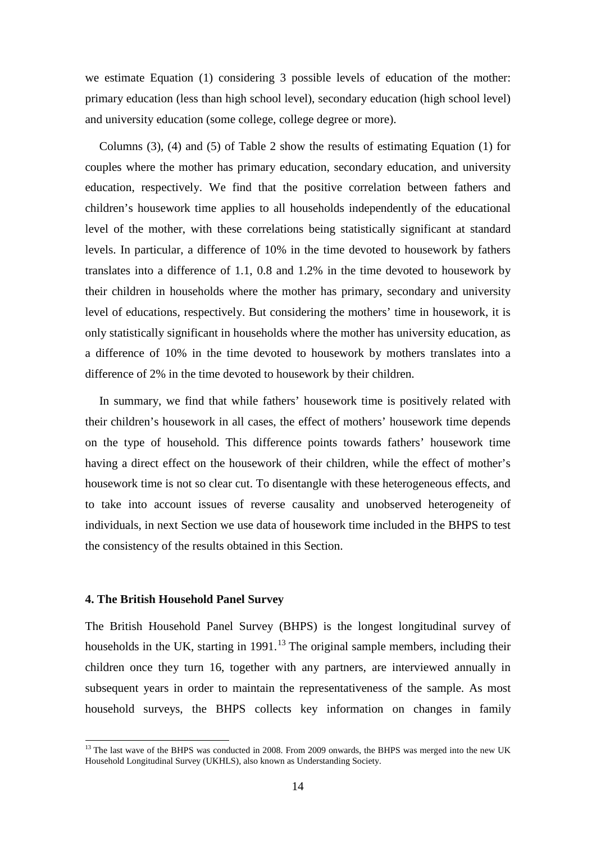we estimate Equation (1) considering 3 possible levels of education of the mother: primary education (less than high school level), secondary education (high school level) and university education (some college, college degree or more).

Columns (3), (4) and (5) of Table 2 show the results of estimating Equation (1) for couples where the mother has primary education, secondary education, and university education, respectively. We find that the positive correlation between fathers and children's housework time applies to all households independently of the educational level of the mother, with these correlations being statistically significant at standard levels. In particular, a difference of 10% in the time devoted to housework by fathers translates into a difference of 1.1, 0.8 and 1.2% in the time devoted to housework by their children in households where the mother has primary, secondary and university level of educations, respectively. But considering the mothers' time in housework, it is only statistically significant in households where the mother has university education, as a difference of 10% in the time devoted to housework by mothers translates into a difference of 2% in the time devoted to housework by their children.

In summary, we find that while fathers' housework time is positively related with their children's housework in all cases, the effect of mothers' housework time depends on the type of household. This difference points towards fathers' housework time having a direct effect on the housework of their children, while the effect of mother's housework time is not so clear cut. To disentangle with these heterogeneous effects, and to take into account issues of reverse causality and unobserved heterogeneity of individuals, in next Section we use data of housework time included in the BHPS to test the consistency of the results obtained in this Section.

#### **4. The British Household Panel Survey**

<span id="page-16-0"></span>The British Household Panel Survey (BHPS) is the longest longitudinal survey of households in the UK, starting in  $1991<sup>13</sup>$  $1991<sup>13</sup>$  $1991<sup>13</sup>$  The original sample members, including their children once they turn 16, together with any partners, are interviewed annually in subsequent years in order to maintain the representativeness of the sample. As most household surveys, the BHPS collects key information on changes in family

<sup>&</sup>lt;sup>13</sup> The last wave of the BHPS was conducted in 2008. From 2009 onwards, the BHPS was merged into the new UK Household Longitudinal Survey (UKHLS), also known as Understanding Society.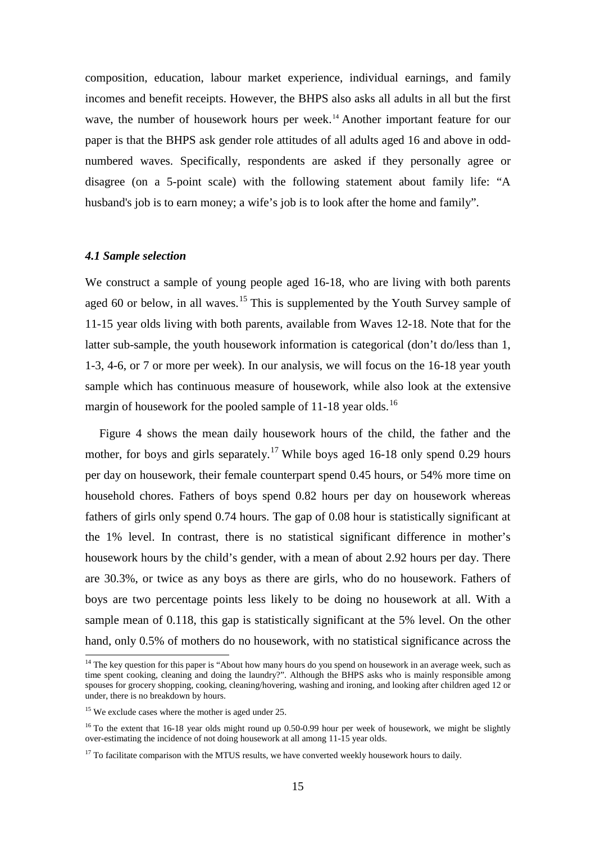composition, education, labour market experience, individual earnings, and family incomes and benefit receipts. However, the BHPS also asks all adults in all but the first wave, the number of housework hours per week.<sup>[14](#page-16-0)</sup> Another important feature for our paper is that the BHPS ask gender role attitudes of all adults aged 16 and above in oddnumbered waves. Specifically, respondents are asked if they personally agree or disagree (on a 5-point scale) with the following statement about family life: "A husband's job is to earn money; a wife's job is to look after the home and family".

#### *4.1 Sample selection*

We construct a sample of young people aged 16-18, who are living with both parents aged 60 or below, in all waves.<sup>[15](#page-17-0)</sup> This is supplemented by the Youth Survey sample of 11-15 year olds living with both parents, available from Waves 12-18. Note that for the latter sub-sample, the youth housework information is categorical (don't do/less than 1, 1-3, 4-6, or 7 or more per week). In our analysis, we will focus on the 16-18 year youth sample which has continuous measure of housework, while also look at the extensive margin of housework for the pooled sample of 11-18 year olds.<sup>[16](#page-17-1)</sup>

Figure 4 shows the mean daily housework hours of the child, the father and the mother, for boys and girls separately.<sup>[17](#page-17-2)</sup> While boys aged 16-18 only spend 0.29 hours per day on housework, their female counterpart spend 0.45 hours, or 54% more time on household chores. Fathers of boys spend 0.82 hours per day on housework whereas fathers of girls only spend 0.74 hours. The gap of 0.08 hour is statistically significant at the 1% level. In contrast, there is no statistical significant difference in mother's housework hours by the child's gender, with a mean of about 2.92 hours per day. There are 30.3%, or twice as any boys as there are girls, who do no housework. Fathers of boys are two percentage points less likely to be doing no housework at all. With a sample mean of 0.118, this gap is statistically significant at the 5% level. On the other hand, only 0.5% of mothers do no housework, with no statistical significance across the

<sup>&</sup>lt;sup>14</sup> The key question for this paper is "About how many hours do you spend on housework in an average week, such as time spent cooking, cleaning and doing the laundry?". Although the BHPS asks who is mainly responsible among spouses for grocery shopping, cooking, cleaning/hovering, washing and ironing, and looking after children aged 12 or under, there is no breakdown by hours.

<span id="page-17-0"></span><sup>&</sup>lt;sup>15</sup> We exclude cases where the mother is aged under 25.

<span id="page-17-3"></span><span id="page-17-1"></span><sup>&</sup>lt;sup>16</sup> To the extent that 16-18 year olds might round up 0.50-0.99 hour per week of housework, we might be slightly over-estimating the incidence of not doing housework at all among 11-15 year olds.

<span id="page-17-2"></span> $17$  To facilitate comparison with the MTUS results, we have converted weekly housework hours to daily.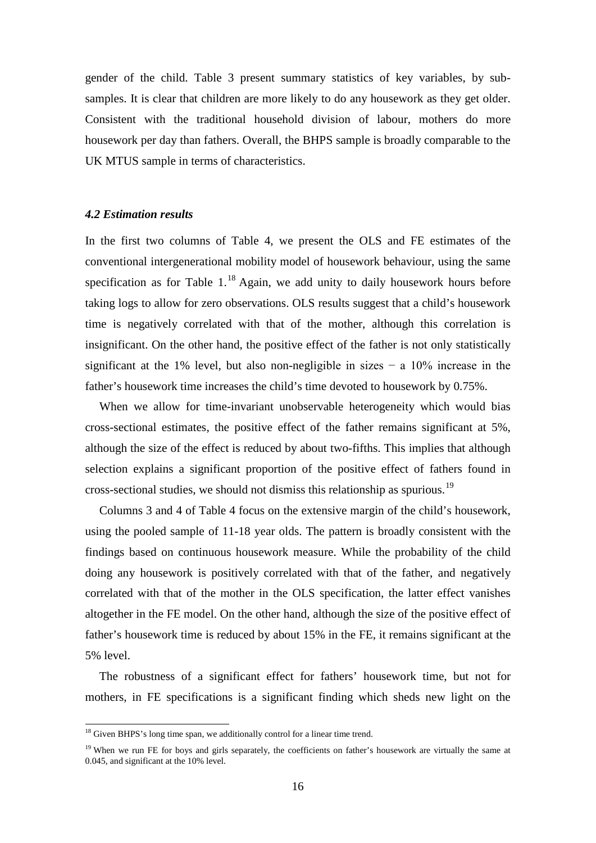gender of the child. Table 3 present summary statistics of key variables, by subsamples. It is clear that children are more likely to do any housework as they get older. Consistent with the traditional household division of labour, mothers do more housework per day than fathers. Overall, the BHPS sample is broadly comparable to the UK MTUS sample in terms of characteristics.

#### *4.2 Estimation results*

In the first two columns of Table 4, we present the OLS and FE estimates of the conventional intergenerational mobility model of housework behaviour, using the same specification as for Table  $1<sup>18</sup>$  $1<sup>18</sup>$  $1<sup>18</sup>$  Again, we add unity to daily housework hours before taking logs to allow for zero observations. OLS results suggest that a child's housework time is negatively correlated with that of the mother, although this correlation is insignificant. On the other hand, the positive effect of the father is not only statistically significant at the 1% level, but also non-negligible in sizes  $-$  a 10% increase in the father's housework time increases the child's time devoted to housework by 0.75%.

When we allow for time-invariant unobservable heterogeneity which would bias cross-sectional estimates, the positive effect of the father remains significant at 5%, although the size of the effect is reduced by about two-fifths. This implies that although selection explains a significant proportion of the positive effect of fathers found in cross-sectional studies, we should not dismiss this relationship as spurious.<sup>[19](#page-18-0)</sup>

Columns 3 and 4 of Table 4 focus on the extensive margin of the child's housework, using the pooled sample of 11-18 year olds. The pattern is broadly consistent with the findings based on continuous housework measure. While the probability of the child doing any housework is positively correlated with that of the father, and negatively correlated with that of the mother in the OLS specification, the latter effect vanishes altogether in the FE model. On the other hand, although the size of the positive effect of father's housework time is reduced by about 15% in the FE, it remains significant at the 5% level.

<span id="page-18-1"></span>The robustness of a significant effect for fathers' housework time, but not for mothers, in FE specifications is a significant finding which sheds new light on the

<sup>&</sup>lt;sup>18</sup> Given BHPS's long time span, we additionally control for a linear time trend.

<span id="page-18-0"></span><sup>&</sup>lt;sup>19</sup> When we run FE for boys and girls separately, the coefficients on father's housework are virtually the same at 0.045, and significant at the 10% level.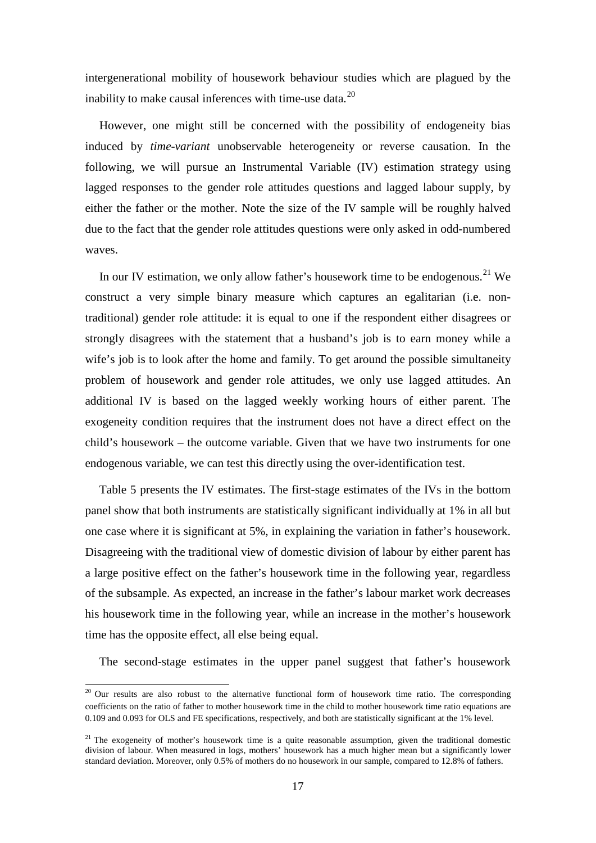intergenerational mobility of housework behaviour studies which are plagued by the inability to make causal inferences with time-use data. $^{20}$  $^{20}$  $^{20}$ 

However, one might still be concerned with the possibility of endogeneity bias induced by *time-variant* unobservable heterogeneity or reverse causation. In the following, we will pursue an Instrumental Variable (IV) estimation strategy using lagged responses to the gender role attitudes questions and lagged labour supply, by either the father or the mother. Note the size of the IV sample will be roughly halved due to the fact that the gender role attitudes questions were only asked in odd-numbered waves.

In our IV estimation, we only allow father's housework time to be endogenous.<sup>[21](#page-19-0)</sup> We construct a very simple binary measure which captures an egalitarian (i.e. nontraditional) gender role attitude: it is equal to one if the respondent either disagrees or strongly disagrees with the statement that a husband's job is to earn money while a wife's job is to look after the home and family. To get around the possible simultaneity problem of housework and gender role attitudes, we only use lagged attitudes. An additional IV is based on the lagged weekly working hours of either parent. The exogeneity condition requires that the instrument does not have a direct effect on the child's housework – the outcome variable. Given that we have two instruments for one endogenous variable, we can test this directly using the over-identification test.

Table 5 presents the IV estimates. The first-stage estimates of the IVs in the bottom panel show that both instruments are statistically significant individually at 1% in all but one case where it is significant at 5%, in explaining the variation in father's housework. Disagreeing with the traditional view of domestic division of labour by either parent has a large positive effect on the father's housework time in the following year, regardless of the subsample. As expected, an increase in the father's labour market work decreases his housework time in the following year, while an increase in the mother's housework time has the opposite effect, all else being equal.

The second-stage estimates in the upper panel suggest that father's housework

 $20$  Our results are also robust to the alternative functional form of housework time ratio. The corresponding coefficients on the ratio of father to mother housework time in the child to mother housework time ratio equations are 0.109 and 0.093 for OLS and FE specifications, respectively, and both are statistically significant at the 1% level.

<span id="page-19-1"></span><span id="page-19-0"></span> $21$  The exogeneity of mother's housework time is a quite reasonable assumption, given the traditional domestic division of labour. When measured in logs, mothers' housework has a much higher mean but a significantly lower standard deviation. Moreover, only 0.5% of mothers do no housework in our sample, compared to 12.8% of fathers.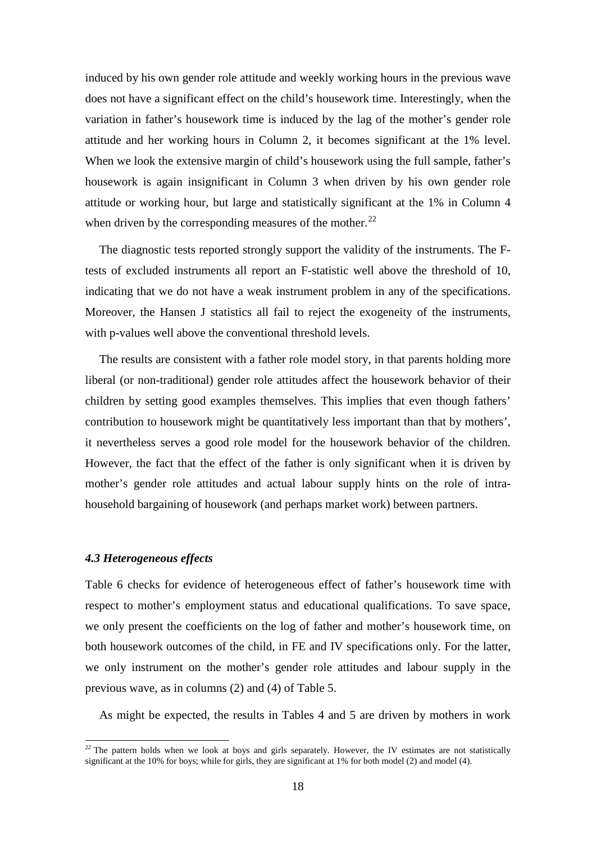induced by his own gender role attitude and weekly working hours in the previous wave does not have a significant effect on the child's housework time. Interestingly, when the variation in father's housework time is induced by the lag of the mother's gender role attitude and her working hours in Column 2, it becomes significant at the 1% level. When we look the extensive margin of child's housework using the full sample, father's housework is again insignificant in Column 3 when driven by his own gender role attitude or working hour, but large and statistically significant at the 1% in Column 4 when driven by the corresponding measures of the mother.<sup>[22](#page-19-1)</sup>

The diagnostic tests reported strongly support the validity of the instruments. The Ftests of excluded instruments all report an F-statistic well above the threshold of 10, indicating that we do not have a weak instrument problem in any of the specifications. Moreover, the Hansen J statistics all fail to reject the exogeneity of the instruments, with p-values well above the conventional threshold levels.

The results are consistent with a father role model story, in that parents holding more liberal (or non-traditional) gender role attitudes affect the housework behavior of their children by setting good examples themselves. This implies that even though fathers' contribution to housework might be quantitatively less important than that by mothers', it nevertheless serves a good role model for the housework behavior of the children. However, the fact that the effect of the father is only significant when it is driven by mother's gender role attitudes and actual labour supply hints on the role of intrahousehold bargaining of housework (and perhaps market work) between partners.

#### *4.3 Heterogeneous effects*

Table 6 checks for evidence of heterogeneous effect of father's housework time with respect to mother's employment status and educational qualifications. To save space, we only present the coefficients on the log of father and mother's housework time, on both housework outcomes of the child, in FE and IV specifications only. For the latter, we only instrument on the mother's gender role attitudes and labour supply in the previous wave, as in columns (2) and (4) of Table 5.

As might be expected, the results in Tables 4 and 5 are driven by mothers in work

<span id="page-20-0"></span> $22$  The pattern holds when we look at boys and girls separately. However, the IV estimates are not statistically significant at the 10% for boys; while for girls, they are significant at 1% for both model (2) and model (4).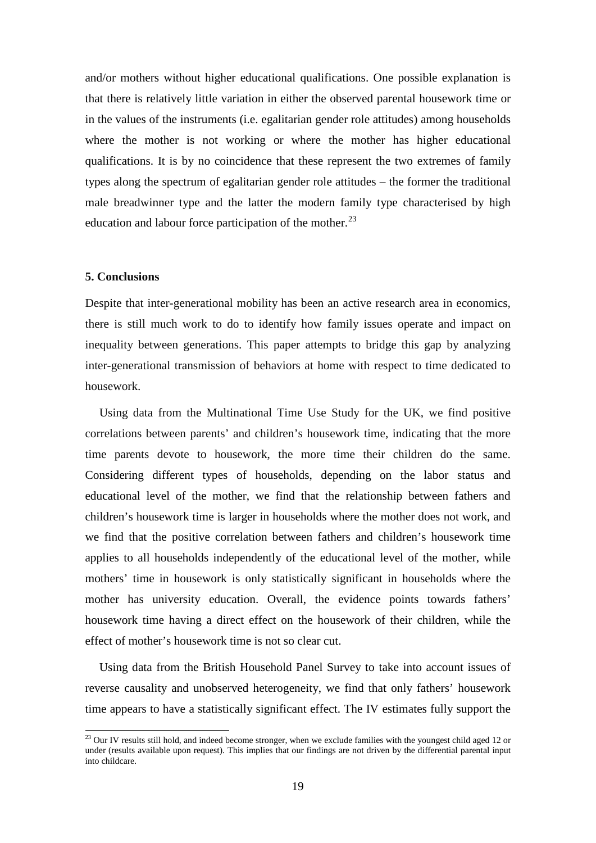and/or mothers without higher educational qualifications. One possible explanation is that there is relatively little variation in either the observed parental housework time or in the values of the instruments (i.e. egalitarian gender role attitudes) among households where the mother is not working or where the mother has higher educational qualifications. It is by no coincidence that these represent the two extremes of family types along the spectrum of egalitarian gender role attitudes – the former the traditional male breadwinner type and the latter the modern family type characterised by high education and labour force participation of the mother. $^{23}$  $^{23}$  $^{23}$ 

#### **5. Conclusions**

Despite that inter-generational mobility has been an active research area in economics, there is still much work to do to identify how family issues operate and impact on inequality between generations. This paper attempts to bridge this gap by analyzing inter-generational transmission of behaviors at home with respect to time dedicated to housework.

Using data from the Multinational Time Use Study for the UK, we find positive correlations between parents' and children's housework time, indicating that the more time parents devote to housework, the more time their children do the same. Considering different types of households, depending on the labor status and educational level of the mother, we find that the relationship between fathers and children's housework time is larger in households where the mother does not work, and we find that the positive correlation between fathers and children's housework time applies to all households independently of the educational level of the mother, while mothers' time in housework is only statistically significant in households where the mother has university education. Overall, the evidence points towards fathers' housework time having a direct effect on the housework of their children, while the effect of mother's housework time is not so clear cut.

Using data from the British Household Panel Survey to take into account issues of reverse causality and unobserved heterogeneity, we find that only fathers' housework time appears to have a statistically significant effect. The IV estimates fully support the

 $^{23}$  Our IV results still hold, and indeed become stronger, when we exclude families with the youngest child aged 12 or under (results available upon request). This implies that our findings are not driven by the differential parental input into childcare.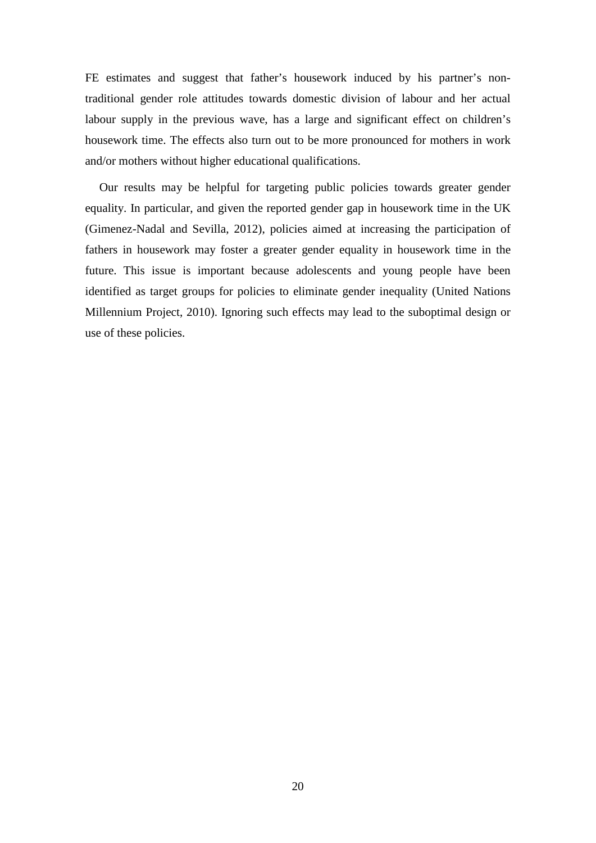FE estimates and suggest that father's housework induced by his partner's nontraditional gender role attitudes towards domestic division of labour and her actual labour supply in the previous wave, has a large and significant effect on children's housework time. The effects also turn out to be more pronounced for mothers in work and/or mothers without higher educational qualifications.

Our results may be helpful for targeting public policies towards greater gender equality. In particular, and given the reported gender gap in housework time in the UK (Gimenez-Nadal and Sevilla, 2012), policies aimed at increasing the participation of fathers in housework may foster a greater gender equality in housework time in the future. This issue is important because adolescents and young people have been identified as target groups for policies to eliminate gender inequality (United Nations Millennium Project, 2010). Ignoring such effects may lead to the suboptimal design or use of these policies.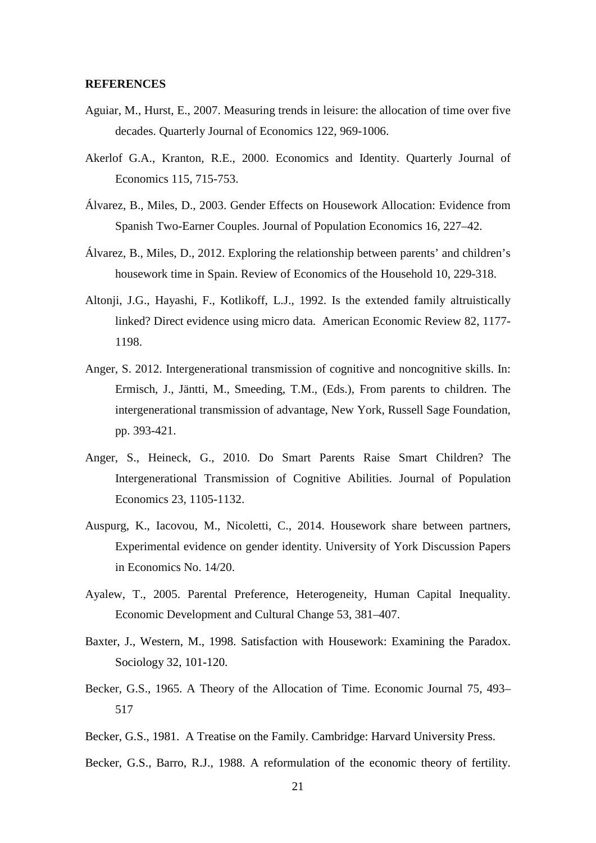#### **REFERENCES**

- Aguiar, M., Hurst, E., 2007. Measuring trends in leisure: the allocation of time over five decades. Quarterly Journal of Economics 122, 969-1006.
- Akerlof G.A., Kranton, R.E., 2000. Economics and Identity. Quarterly Journal of Economics 115, 715-753.
- Álvarez, B., Miles, D., 2003. Gender Effects on Housework Allocation: Evidence from Spanish Two-Earner Couples. Journal of Population Economics 16, 227–42.
- Álvarez, B., Miles, D., 2012. Exploring the relationship between parents' and children's housework time in Spain. Review of Economics of the Household 10, 229-318.
- Altonji, J.G., Hayashi, F., Kotlikoff, L.J., 1992. Is the extended family altruistically linked? Direct evidence using micro data. American Economic Review 82, 1177- 1198.
- Anger, S. 2012. Intergenerational transmission of cognitive and noncognitive skills. In: Ermisch, J., Jäntti, M., Smeeding, T.M., (Eds.), From parents to children. The intergenerational transmission of advantage, New York, Russell Sage Foundation, pp. 393-421.
- Anger, S., Heineck, G., 2010. Do Smart Parents Raise Smart Children? The Intergenerational Transmission of Cognitive Abilities. Journal of Population Economics 23, 1105-1132.
- Auspurg, K., Iacovou, M., Nicoletti, C., 2014. Housework share between partners, Experimental evidence on gender identity. University of York Discussion Papers in Economics No. 14/20.
- Ayalew, T., 2005. Parental Preference, Heterogeneity, Human Capital Inequality. Economic Development and Cultural Change 53, 381–407.
- Baxter, J., Western, M., 1998. Satisfaction with Housework: Examining the Paradox. Sociology 32, 101-120.
- Becker, G.S., 1965. A Theory of the Allocation of Time. Economic Journal 75, 493– 517
- Becker, G.S., 1981. A Treatise on the Family. Cambridge: Harvard University Press.
- Becker, G.S., Barro, R.J., 1988. A reformulation of the economic theory of fertility.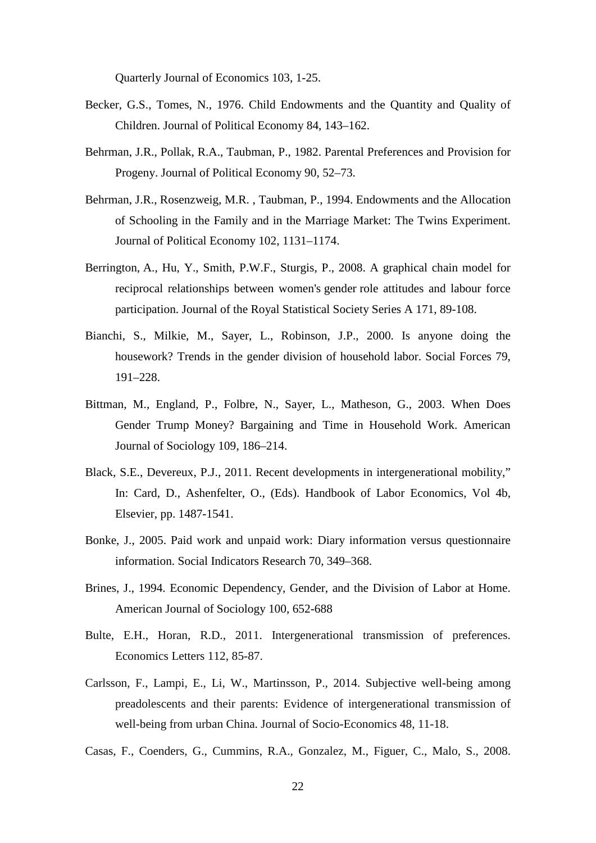Quarterly Journal of Economics 103, 1-25.

- Becker, G.S., Tomes, N., 1976. Child Endowments and the Quantity and Quality of Children. Journal of Political Economy 84, 143–162.
- Behrman, J.R., Pollak, R.A., Taubman, P., 1982. Parental Preferences and Provision for Progeny. Journal of Political Economy 90, 52–73.
- Behrman, J.R., Rosenzweig, M.R. , Taubman, P., 1994. Endowments and the Allocation of Schooling in the Family and in the Marriage Market: The Twins Experiment. Journal of Political Economy 102, 1131–1174.
- Berrington, A., Hu, Y., Smith, P.W.F., Sturgis, P., 2008. A graphical chain model for reciprocal relationships between women's gender role attitudes and labour force participation. [Journal of the Royal Statistical Society Series A](http://econpapers.repec.org/article/blajorssa/) 171, 89-108.
- Bianchi, S., Milkie, M., Sayer, L., Robinson, J.P., 2000. Is anyone doing the housework? Trends in the gender division of household labor. Social Forces 79, 191–228.
- Bittman, M., England, P., Folbre, N., Sayer, L., Matheson, G., 2003. When Does Gender Trump Money? Bargaining and Time in Household Work. American Journal of Sociology 109, 186–214.
- Black, S.E., Devereux, P.J., 2011. Recent developments in intergenerational mobility," In: Card, D., Ashenfelter, O., (Eds). Handbook of Labor Economics, Vol 4b, Elsevier, pp. 1487-1541.
- Bonke, J., 2005. Paid work and unpaid work: Diary information versus questionnaire information. Social Indicators Research 70, 349–368.
- Brines, J., 1994. Economic Dependency, Gender, and the Division of Labor at Home. American Journal of Sociology 100, 652-688
- Bulte, E.H., Horan, R.D., 2011. Intergenerational transmission of preferences. Economics Letters 112, 85-87.
- Carlsson, F., Lampi, E., Li, W., Martinsson, P., 2014. Subjective well-being among preadolescents and their parents: Evidence of intergenerational transmission of well-being from urban China. Journal of Socio-Economics 48, 11-18.
- Casas, F., Coenders, G., Cummins, R.A., Gonzalez, M., Figuer, C., Malo, S., 2008.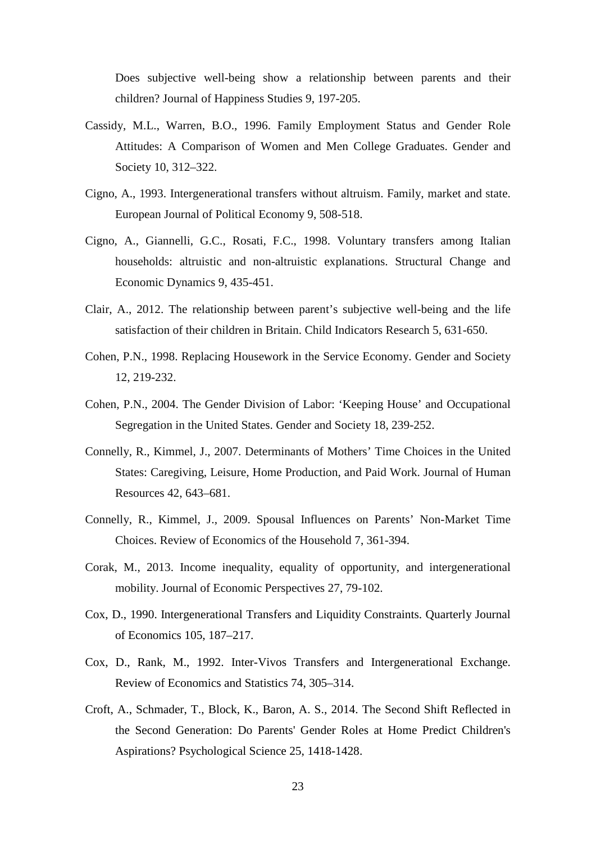Does subjective well-being show a relationship between parents and their children? Journal of Happiness Studies 9, 197-205.

- Cassidy, M.L., Warren, B.O., 1996. Family Employment Status and Gender Role Attitudes: A Comparison of Women and Men College Graduates. Gender and Society 10, 312–322.
- Cigno, A., 1993. Intergenerational transfers without altruism. Family, market and state. European Journal of Political Economy 9, 508-518.
- Cigno, A., Giannelli, G.C., Rosati, F.C., 1998. Voluntary transfers among Italian households: altruistic and non-altruistic explanations. Structural Change and Economic Dynamics 9, 435-451.
- Clair, A., 2012. The relationship between parent's subjective well-being and the life satisfaction of their children in Britain. Child Indicators Research 5, 631-650.
- Cohen, P.N., 1998. Replacing Housework in the Service Economy. Gender and Society 12, 219-232.
- Cohen, P.N., 2004. The Gender Division of Labor: 'Keeping House' and Occupational Segregation in the United States. Gender and Society 18, 239-252.
- Connelly, R., Kimmel, J., 2007. Determinants of Mothers' Time Choices in the United States: Caregiving, Leisure, Home Production, and Paid Work. Journal of Human Resources 42, 643–681.
- Connelly, R., Kimmel, J., 2009. Spousal Influences on Parents' Non-Market Time Choices. Review of Economics of the Household 7, 361-394.
- Corak, M., 2013. Income inequality, equality of opportunity, and intergenerational mobility. Journal of Economic Perspectives 27, 79-102.
- Cox, D., 1990. Intergenerational Transfers and Liquidity Constraints. Quarterly Journal of Economics 105, 187–217.
- Cox, D., Rank, M., 1992. Inter-Vivos Transfers and Intergenerational Exchange. Review of Economics and Statistics 74, 305–314.
- Croft, A., Schmader, T., Block, K., Baron, A. S., 2014. The Second Shift Reflected in the Second Generation: Do Parents' Gender Roles at Home Predict Children's Aspirations? Psychological Science 25, 1418-1428.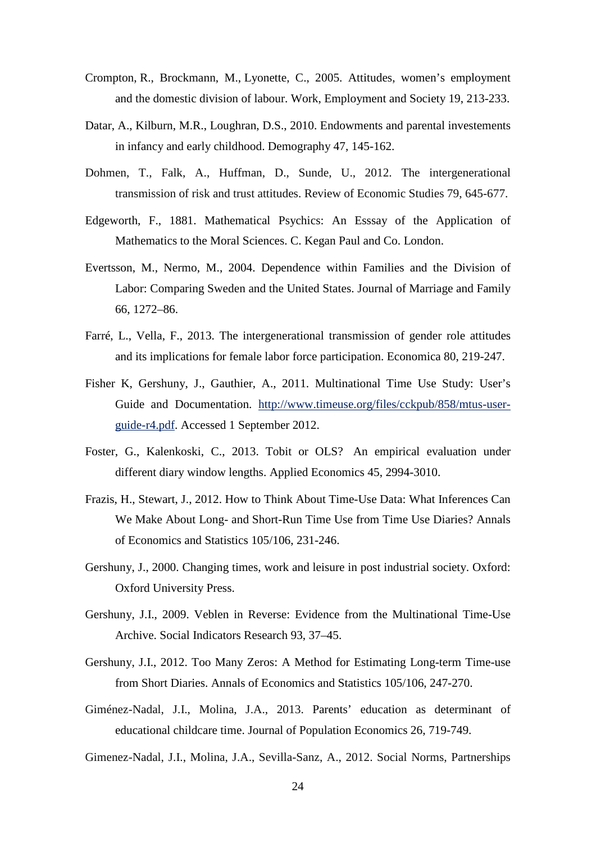- Crompton, R., Brockmann, M., Lyonette, C., 2005. Attitudes, women's employment and the domestic division of labour. [Work, Employment and Society](http://econpapers.repec.org/article/saewoemps/) 19, 213-233.
- Datar, A., Kilburn, M.R., Loughran, D.S., 2010. Endowments and parental investements in infancy and early childhood. Demography 47, 145-162.
- Dohmen, T., Falk, A., Huffman, D., Sunde, U., 2012. The intergenerational transmission of risk and trust attitudes. Review of Economic Studies 79, 645-677.
- Edgeworth, F., 1881. Mathematical Psychics: An Esssay of the Application of Mathematics to the Moral Sciences. C. Kegan Paul and Co. London.
- Evertsson, M., Nermo, M., 2004. Dependence within Families and the Division of Labor: Comparing Sweden and the United States. Journal of Marriage and Family 66, 1272–86.
- Farré, L., Vella, F., 2013. The intergenerational transmission of gender role attitudes and its implications for female labor force participation. Economica 80, 219-247.
- Fisher K, Gershuny, J., Gauthier, A., 2011. Multinational Time Use Study: User's Guide and Documentation. [http://www.timeuse.org/files/cckpub/858/mtus-user](http://www.timeuse.org/files/cckpub/858/mtus-user-guide-r4.pdf)[guide-r4.pdf.](http://www.timeuse.org/files/cckpub/858/mtus-user-guide-r4.pdf) Accessed 1 September 2012.
- Foster, G., Kalenkoski, C., 2013. Tobit or OLS? An empirical evaluation under different diary window lengths. Applied Economics 45, 2994-3010.
- Frazis, H., Stewart, J., 2012. How to Think About Time-Use Data: What Inferences Can We Make About Long- and Short-Run Time Use from Time Use Diaries? Annals of Economics and Statistics 105/106, 231-246.
- Gershuny, J., 2000. Changing times, work and leisure in post industrial society. Oxford: Oxford University Press.
- Gershuny, J.I., 2009. Veblen in Reverse: Evidence from the Multinational Time-Use Archive. Social Indicators Research 93, 37–45.
- Gershuny, J.I., 2012. Too Many Zeros: A Method for Estimating Long-term Time-use from Short Diaries. Annals of Economics and Statistics 105/106, 247-270.
- Giménez-Nadal, J.I., Molina, J.A., 2013. Parents' education as determinant of educational childcare time. Journal of Population Economics 26, 719-749.
- Gimenez-Nadal, J.I., Molina, J.A., Sevilla-Sanz, A., 2012. Social Norms, Partnerships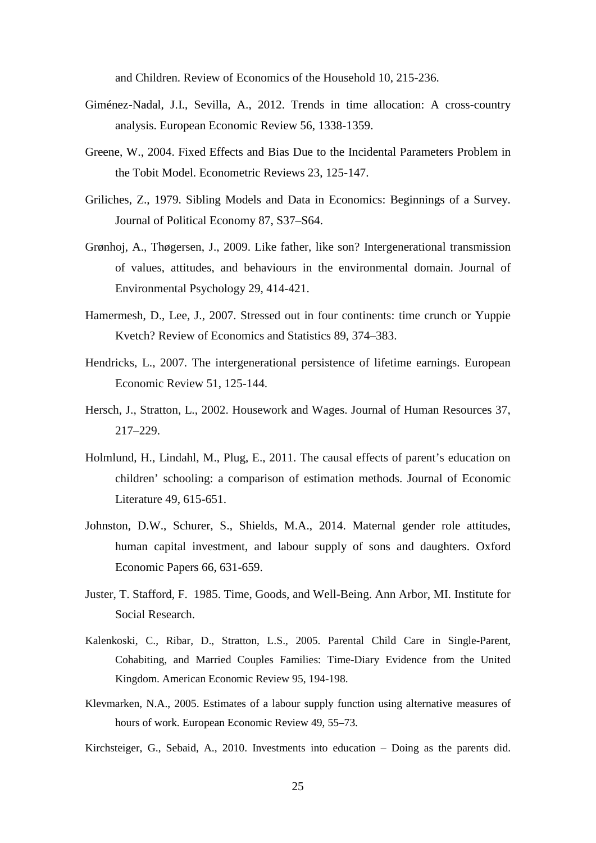and Children. Review of Economics of the Household 10, 215-236.

- Giménez-Nadal, J.I., Sevilla, A., 2012. Trends in time allocation: A cross-country analysis. European Economic Review 56, 1338-1359.
- Greene, W., 2004. Fixed Effects and Bias Due to the Incidental Parameters Problem in the Tobit Model. Econometric Reviews 23, 125-147.
- Griliches, Z., 1979. Sibling Models and Data in Economics: Beginnings of a Survey. Journal of Political Economy 87, S37–S64.
- Grønhoj, A., Thøgersen, J., 2009. Like father, like son? Intergenerational transmission of values, attitudes, and behaviours in the environmental domain. Journal of Environmental Psychology 29, 414-421.
- Hamermesh, D., Lee, J., 2007. Stressed out in four continents: time crunch or Yuppie Kvetch? Review of Economics and Statistics 89, 374–383.
- Hendricks, L., 2007. The intergenerational persistence of lifetime earnings. European Economic Review 51, 125-144.
- Hersch, J., Stratton, L., 2002. Housework and Wages. Journal of Human Resources 37, 217–229.
- Holmlund, H., Lindahl, M., Plug, E., 2011. The causal effects of parent's education on children' schooling: a comparison of estimation methods. Journal of Economic Literature 49, 615-651.
- Johnston, D.W., Schurer, S., Shields, M.A., 2014. Maternal gender role attitudes, human capital investment, and labour supply of sons and daughters. Oxford Economic Papers 66, 631-659.
- Juster, T. Stafford, F. 1985. Time, Goods, and Well-Being. Ann Arbor, MI. Institute for Social Research.
- Kalenkoski, C., Ribar, D., Stratton, L.S., 2005. Parental Child Care in Single-Parent, Cohabiting, and Married Couples Families: Time-Diary Evidence from the United Kingdom. American Economic Review 95, 194-198.
- Klevmarken, N.A., 2005. Estimates of a labour supply function using alternative measures of hours of work. European Economic Review 49, 55–73.
- Kirchsteiger, G., Sebaid, A., 2010. Investments into education Doing as the parents did.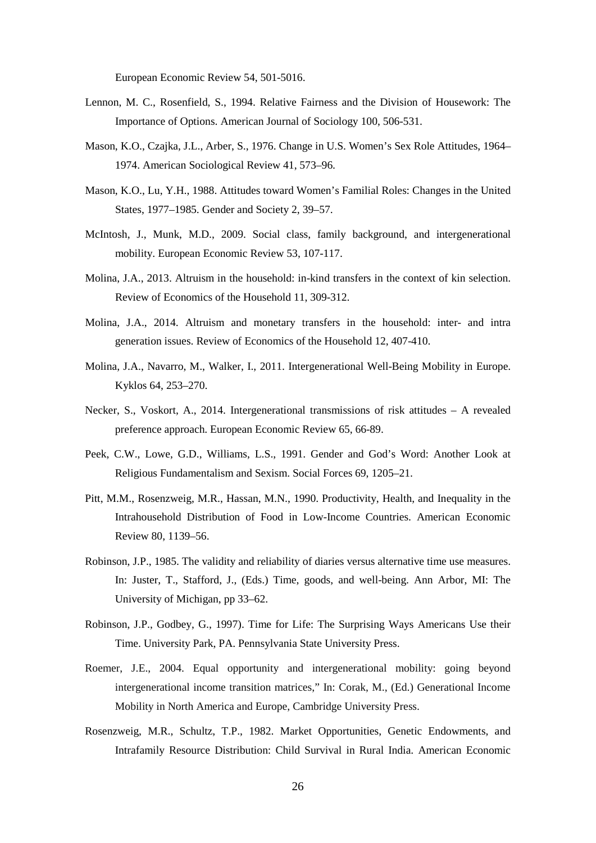European Economic Review 54, 501-5016.

- Lennon, M. C., Rosenfield, S., 1994. Relative Fairness and the Division of Housework: The Importance of Options. American Journal of Sociology 100, 506-531.
- Mason, K.O., Czajka, J.L., Arber, S., 1976. Change in U.S. Women's Sex Role Attitudes, 1964– 1974. American Sociological Review 41, 573–96.
- Mason, K.O., Lu, Y.H., 1988. Attitudes toward Women's Familial Roles: Changes in the United States, 1977–1985. Gender and Society 2, 39–57.
- McIntosh, J., Munk, M.D., 2009. Social class, family background, and intergenerational mobility. European Economic Review 53, 107-117.
- Molina, J.A., 2013. Altruism in the household: in-kind transfers in the context of kin selection. Review of Economics of the Household 11, 309-312.
- Molina, J.A., 2014. Altruism and monetary transfers in the household: inter- and intra generation issues. Review of Economics of the Household 12, 407-410.
- Molina, J.A., Navarro, M., Walker, I., 2011. Intergenerational Well-Being Mobility in Europe. Kyklos 64, 253–270.
- Necker, S., Voskort, A., 2014. Intergenerational transmissions of risk attitudes A revealed preference approach. European Economic Review 65, 66-89.
- Peek, C.W., Lowe, G.D., Williams, L.S., 1991. Gender and God's Word: Another Look at Religious Fundamentalism and Sexism. Social Forces 69, 1205–21.
- Pitt, M.M., Rosenzweig, M.R., Hassan, M.N., 1990. Productivity, Health, and Inequality in the Intrahousehold Distribution of Food in Low-Income Countries. American Economic Review 80, 1139–56.
- Robinson, J.P., 1985. The validity and reliability of diaries versus alternative time use measures. In: Juster, T., Stafford, J., (Eds.) Time, goods, and well-being. Ann Arbor, MI: The University of Michigan, pp 33–62.
- Robinson, J.P., Godbey, G., 1997). Time for Life: The Surprising Ways Americans Use their Time. University Park, PA. Pennsylvania State University Press.
- Roemer, J.E., 2004. Equal opportunity and intergenerational mobility: going beyond intergenerational income transition matrices," In: Corak, M., (Ed.) Generational Income Mobility in North America and Europe, Cambridge University Press.
- Rosenzweig, M.R., Schultz, T.P., 1982. Market Opportunities, Genetic Endowments, and Intrafamily Resource Distribution: Child Survival in Rural India. American Economic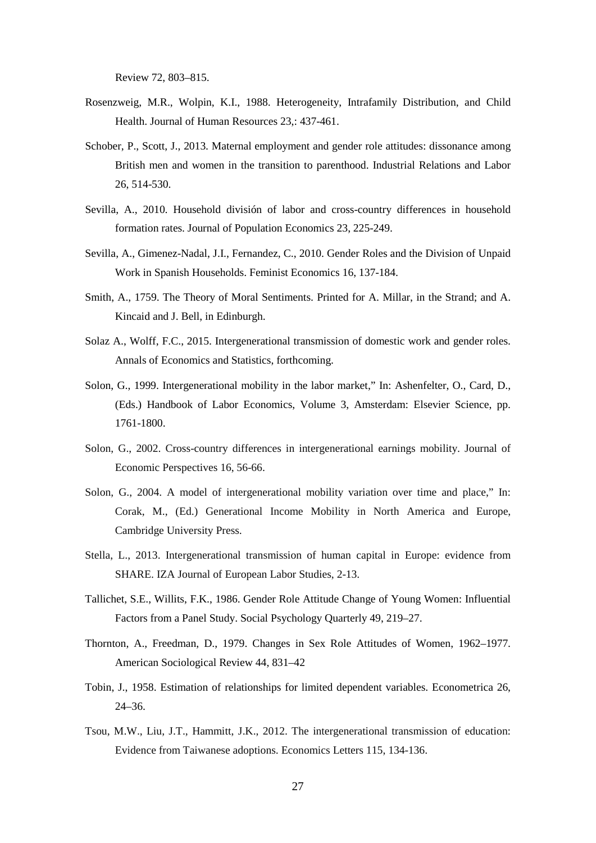Review 72, 803–815.

- Rosenzweig, M.R., Wolpin, K.I., 1988. Heterogeneity, Intrafamily Distribution, and Child Health. Journal of Human Resources 23,: 437-461.
- [Schober,](http://wes.sagepub.com/search?author1=Pia+Schober&sortspec=date&submit=Submit) P., [Scott,](http://wes.sagepub.com/search?author1=Jacqueline+Scott&sortspec=date&submit=Submit) J., 2013. Maternal employment and gender role attitudes: dissonance among British men and women in the transition to parenthood. Industrial Relations and Labor 26, 514-530.
- Sevilla, A., 2010. Household división of labor and cross-country differences in household formation rates. Journal of Population Economics 23, 225-249.
- Sevilla, A., Gimenez-Nadal, J.I., Fernandez, C., 2010. Gender Roles and the Division of Unpaid Work in Spanish Households. Feminist Economics 16, 137-184.
- Smith, A., 1759. The Theory of Moral Sentiments. Printed for A. Millar, in the Strand; and A. Kincaid and J. Bell, in Edinburgh.
- Solaz A., Wolff, F.C., 2015. Intergenerational transmission of domestic work and gender roles. Annals of Economics and Statistics, forthcoming.
- Solon, G., 1999. Intergenerational mobility in the labor market," In: Ashenfelter, O., Card, D., (Eds.) Handbook of Labor Economics, Volume 3, Amsterdam: Elsevier Science, pp. 1761-1800.
- Solon, G., 2002. Cross-country differences in intergenerational earnings mobility. Journal of Economic Perspectives 16, 56-66.
- Solon, G., 2004. A model of intergenerational mobility variation over time and place," In: Corak, M., (Ed.) Generational Income Mobility in North America and Europe, Cambridge University Press.
- Stella, L., 2013. Intergenerational transmission of human capital in Europe: evidence from SHARE. IZA Journal of European Labor Studies, 2-13.
- Tallichet, S.E., Willits, F.K., 1986. Gender Role Attitude Change of Young Women: Influential Factors from a Panel Study. Social Psychology Quarterly 49, 219–27.
- Thornton, A., Freedman, D., 1979. Changes in Sex Role Attitudes of Women, 1962–1977. American Sociological Review 44, 831–42
- Tobin, J., 1958. [Estimation of relationships for limited dependent variables.](http://www.jstor.org/stable/1907382) Econometrica 26, 24–36.
- Tsou, M.W., Liu, J.T., Hammitt, J.K., 2012. The intergenerational transmission of education: Evidence from Taiwanese adoptions. Economics Letters 115, 134-136.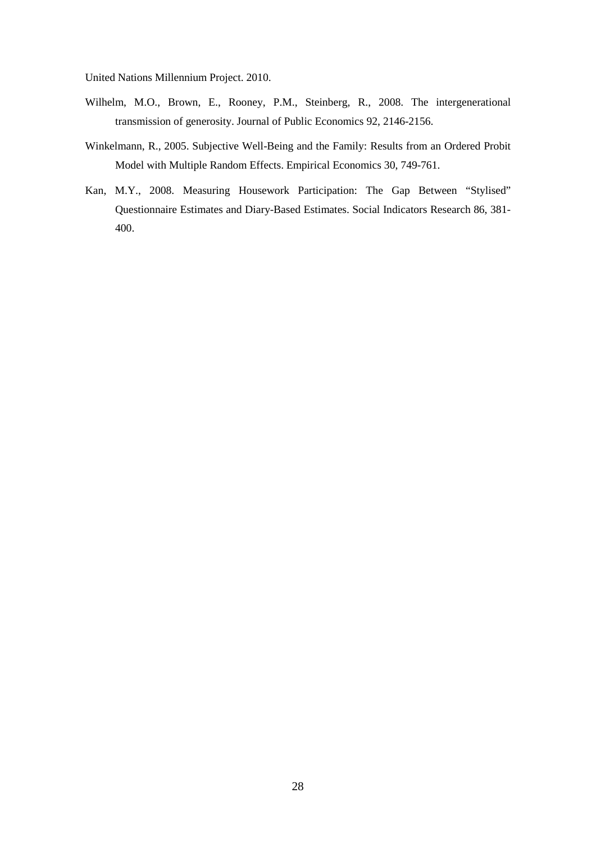United Nations Millennium Project. 2010.

- Wilhelm, M.O., Brown, E., Rooney, P.M., Steinberg, R., 2008. The intergenerational transmission of generosity. Journal of Public Economics 92, 2146-2156.
- Winkelmann, R., 2005. Subjective Well-Being and the Family: Results from an Ordered Probit Model with Multiple Random Effects. Empirical Economics 30, 749-761.
- Kan, M.Y., 2008. Measuring Housework Participation: The Gap Between "Stylised" Questionnaire Estimates and Diary-Based Estimates. Social Indicators Research 86, 381- 400.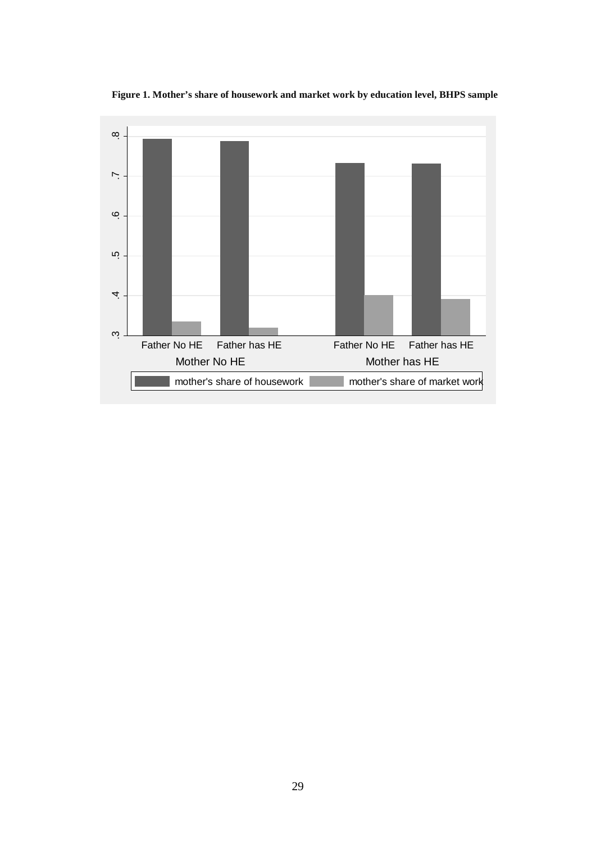

**Figure 1. Mother's share of housework and market work by education level, BHPS sample**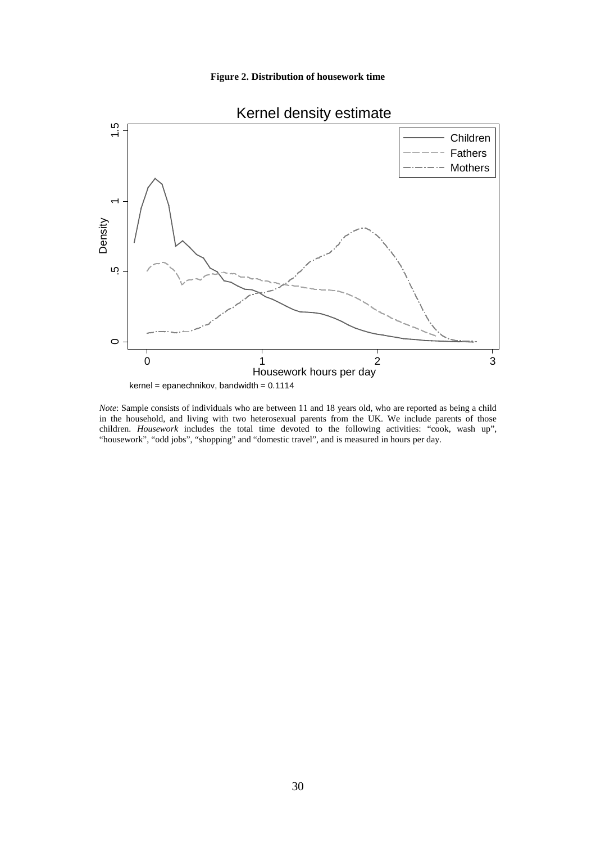



*Note*: Sample consists of individuals who are between 11 and 18 years old, who are reported as being a child in the household, and living with two heterosexual parents from the UK. We include parents of those children. *Housework* includes the total time devoted to the following activities: "cook, wash up", "housework", "odd jobs", "shopping" and "domestic travel", and is measured in hours per day.

# Kernel density estimate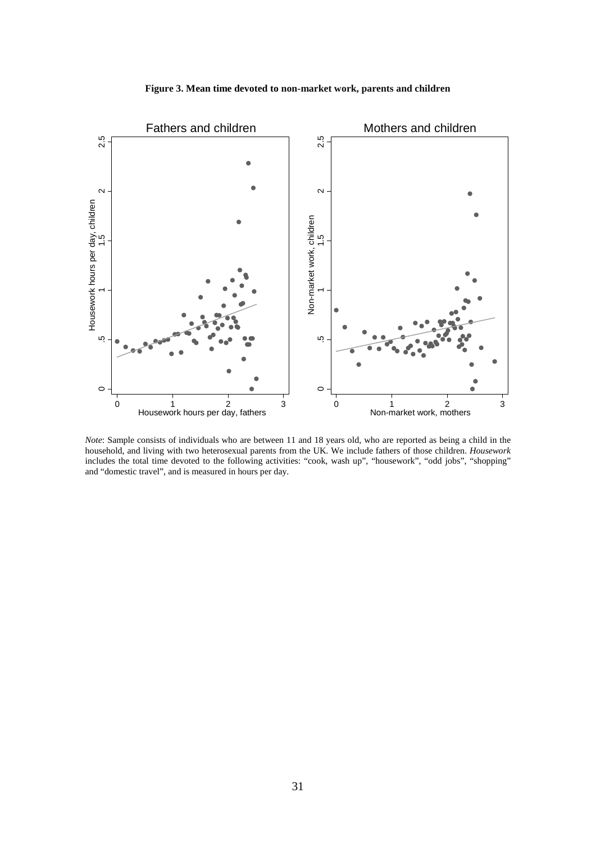



*Note*: Sample consists of individuals who are between 11 and 18 years old, who are reported as being a child in the household, and living with two heterosexual parents from the UK. We include fathers of those children. *Housework* includes the total time devoted to the following activities: "cook, wash up", "housework", "odd jobs", "shopping" and "domestic travel", and is measured in hours per day.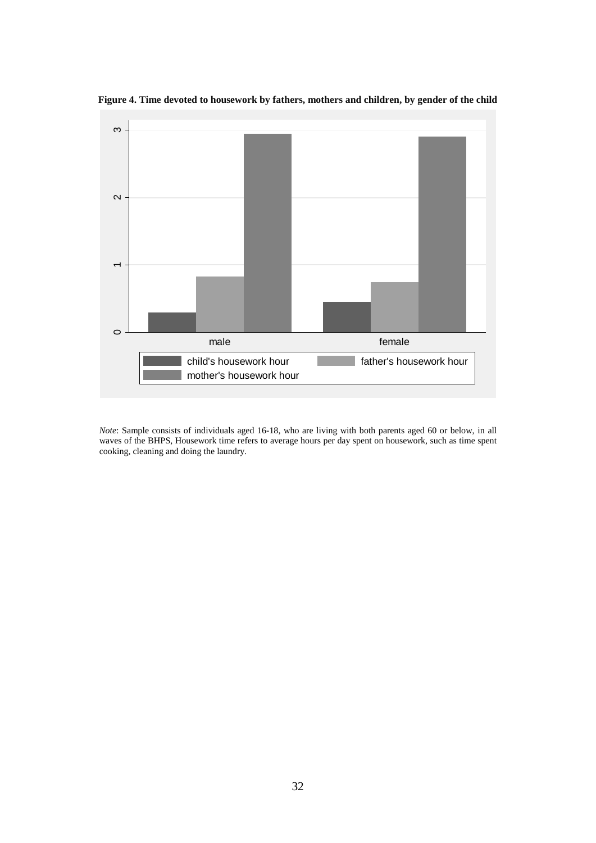



*Note*: Sample consists of individuals aged 16-18, who are living with both parents aged 60 or below, in all waves of the BHPS, Housework time refers to average hours per day spent on housework, such as time spent cooking, cleaning and doing the laundry.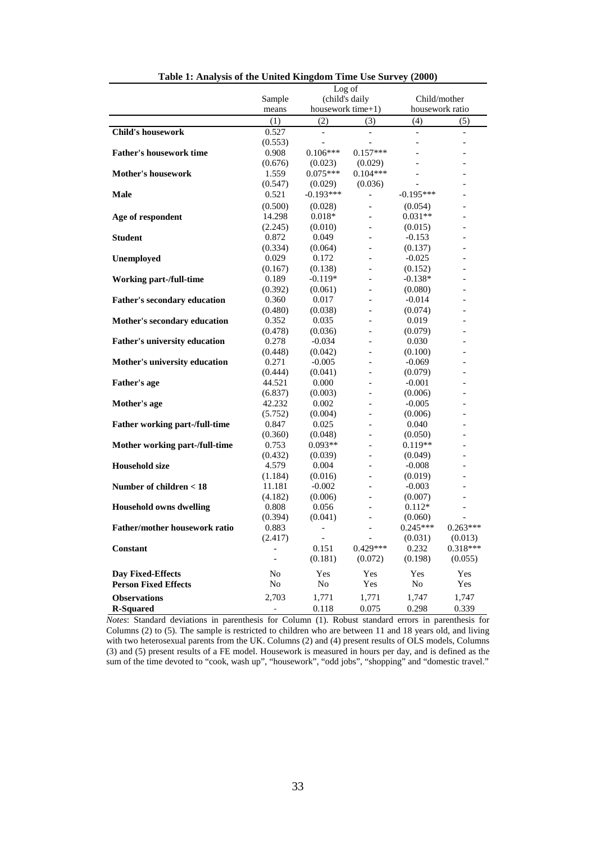|                                      | Log of                   |                              |                          |                          |                          |
|--------------------------------------|--------------------------|------------------------------|--------------------------|--------------------------|--------------------------|
|                                      | Sample                   | (child's daily               |                          | Child/mother             |                          |
|                                      | means                    | housework time+1)            |                          | housework ratio          |                          |
|                                      | (1)                      | (2)                          | (3)                      | (4)                      | (5)                      |
| <b>Child's housework</b>             | 0.527                    | $\overline{\phantom{a}}$     |                          | $\blacksquare$           | $\overline{\phantom{a}}$ |
|                                      | (0.553)                  |                              |                          | $\overline{a}$           |                          |
| <b>Father's housework time</b>       | 0.908                    | $0.106***$                   | $0.157***$               |                          |                          |
|                                      | (0.676)                  | (0.023)                      | (0.029)                  |                          |                          |
| <b>Mother's housework</b>            | 1.559                    | $0.075***$                   | $0.104***$               |                          |                          |
|                                      | (0.547)                  | (0.029)                      | (0.036)                  | $\overline{\phantom{a}}$ |                          |
| Male                                 | 0.521                    | $-0.193***$                  | $\overline{\phantom{0}}$ | $-0.195***$              |                          |
|                                      | (0.500)                  | (0.028)                      |                          | (0.054)                  |                          |
| Age of respondent                    | 14.298                   | $0.018*$                     | $\overline{a}$           | $0.031**$                |                          |
|                                      | (2.245)                  | (0.010)                      | $\overline{a}$           | (0.015)                  |                          |
| <b>Student</b>                       | 0.872                    | 0.049                        |                          | $-0.153$                 |                          |
|                                      | (0.334)                  | (0.064)                      |                          | (0.137)                  |                          |
| Unemployed                           | 0.029                    | 0.172                        |                          | $-0.025$                 |                          |
|                                      | (0.167)                  | (0.138)                      |                          | (0.152)                  |                          |
| <b>Working part-/full-time</b>       | 0.189                    | $-0.119*$                    |                          | $-0.138*$                |                          |
|                                      | (0.392)                  | (0.061)                      |                          | (0.080)                  |                          |
| <b>Father's secondary education</b>  | 0.360                    | 0.017                        |                          | $-0.014$                 |                          |
|                                      | (0.480)                  | (0.038)                      |                          | (0.074)                  |                          |
| Mother's secondary education         | 0.352                    | 0.035                        |                          | 0.019                    |                          |
|                                      | (0.478)                  | (0.036)                      |                          | (0.079)                  |                          |
| <b>Father's university education</b> | 0.278                    | $-0.034$                     |                          | 0.030                    |                          |
|                                      | (0.448)                  | (0.042)                      | $\overline{a}$           | (0.100)                  | $\overline{a}$           |
| Mother's university education        | 0.271                    | $-0.005$                     | $\overline{a}$           | $-0.069$                 |                          |
|                                      | (0.444)                  | (0.041)                      |                          | (0.079)                  |                          |
| <b>Father's age</b>                  | 44.521                   | 0.000                        |                          | $-0.001$                 |                          |
|                                      | (6.837)                  | (0.003)                      |                          | (0.006)                  |                          |
| Mother's age                         | 42.232                   | 0.002                        |                          | $-0.005$                 |                          |
|                                      | (5.752)                  | (0.004)                      |                          | (0.006)                  |                          |
| Father working part-/full-time       | 0.847                    | 0.025                        | $\overline{a}$           | 0.040                    |                          |
|                                      | (0.360)                  | (0.048)                      | $\overline{a}$           | (0.050)                  |                          |
| Mother working part-/full-time       | 0.753                    | $0.093**$                    | $\overline{a}$           | $0.119**$                |                          |
|                                      | (0.432)                  | (0.039)                      | $\overline{a}$           | (0.049)                  |                          |
| <b>Household size</b>                | 4.579                    | 0.004                        |                          | $-0.008$                 |                          |
|                                      | (1.184)                  | (0.016)                      |                          | (0.019)                  |                          |
| Number of children < 18              | 11.181                   | $-0.002$                     |                          | $-0.003$                 |                          |
|                                      | (4.182)                  | (0.006)                      |                          | (0.007)                  |                          |
| <b>Household owns dwelling</b>       | 0.808                    | 0.056                        |                          | $0.112*$                 |                          |
|                                      | (0.394)                  | (0.041)                      |                          | (0.060)                  |                          |
| <b>Father/mother housework ratio</b> | 0.883                    | $\qquad \qquad \blacksquare$ |                          | $0.245***$               | $0.263***$               |
|                                      | (2.417)                  | $\blacksquare$               | $\overline{\phantom{a}}$ | (0.031)                  | (0.013)                  |
| Constant                             |                          | 0.151                        | $0.429***$               | 0.232                    | 0.318***                 |
|                                      | $\overline{\phantom{0}}$ | (0.181)                      | (0.072)                  | (0.198)                  | (0.055)                  |
|                                      |                          |                              |                          |                          |                          |
| <b>Day Fixed-Effects</b>             | No                       | Yes                          | Yes                      | Yes                      | Yes                      |
| <b>Person Fixed Effects</b>          | No                       | $\rm No$                     | Yes                      | $\rm No$                 | Yes                      |
| <b>Observations</b>                  | 2,703                    | 1,771                        | 1,771                    | 1,747                    | 1,747                    |
| <b>R-Squared</b>                     | $\overline{\phantom{0}}$ | 0.118                        | 0.075                    | 0.298                    | 0.339                    |

**Table 1: Analysis of the United Kingdom Time Use Survey (2000)**

*Notes*: Standard deviations in parenthesis for Column (1). Robust standard errors in parenthesis for Columns (2) to (5). The sample is restricted to children who are between 11 and 18 years old, and living with two heterosexual parents from the UK. Columns (2) and (4) present results of OLS models, Columns (3) and (5) present results of a FE model. Housework is measured in hours per day, and is defined as the sum of the time devoted to "cook, wash up", "housework", "odd jobs", "shopping" and "domestic travel."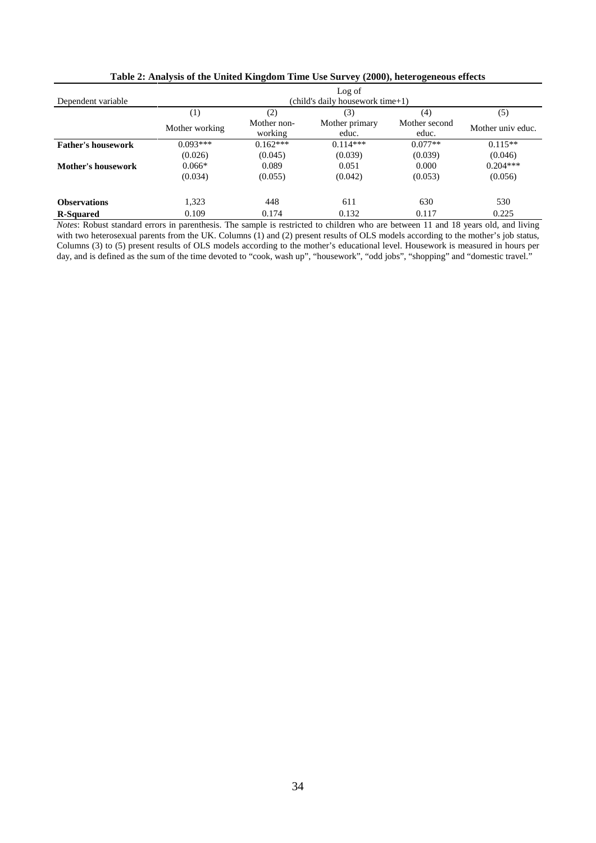|                           |                                  |                        | Log of                  |                        |                   |  |  |
|---------------------------|----------------------------------|------------------------|-------------------------|------------------------|-------------------|--|--|
| Dependent variable        | (child's daily housework time+1) |                        |                         |                        |                   |  |  |
|                           | $\left(1\right)$                 | (2)                    | (3)                     | (4)                    | (5)               |  |  |
|                           | Mother working                   | Mother non-<br>working | Mother primary<br>educ. | Mother second<br>educ. | Mother univ educ. |  |  |
| <b>Father's housework</b> | $0.093***$                       | $0.162***$             | $0.114***$              | $0.077**$              | $0.115**$         |  |  |
|                           | (0.026)                          | (0.045)                | (0.039)                 | (0.039)                | (0.046)           |  |  |
| Mother's housework        | $0.066*$                         | 0.089                  | 0.051                   | 0.000                  | $0.204***$        |  |  |
|                           | (0.034)                          | (0.055)                | (0.042)                 | (0.053)                | (0.056)           |  |  |
| <b>Observations</b>       | 1,323                            | 448                    | 611                     | 630                    | 530               |  |  |
| <b>R-Squared</b>          | 0.109                            | 0.174                  | 0.132                   | 0.117                  | 0.225             |  |  |

**Table 2: Analysis of the United Kingdom Time Use Survey (2000), heterogeneous effects**

*Notes*: Robust standard errors in parenthesis. The sample is restricted to children who are between 11 and 18 years old, and living with two heterosexual parents from the UK. Columns (1) and (2) present results of OLS models according to the mother's job status, Columns (3) to (5) present results of OLS models according to the mother's educational level. Housework is measured in hours per day, and is defined as the sum of the time devoted to "cook, wash up", "housework", "odd jobs", "shopping" and "domestic travel."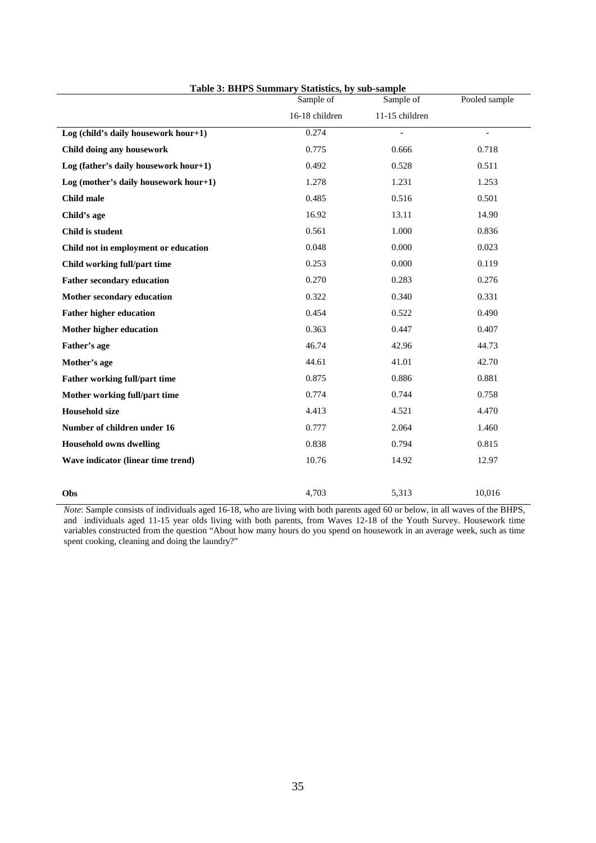|                                       | Sample of      | Sample of      | Pooled sample  |
|---------------------------------------|----------------|----------------|----------------|
|                                       | 16-18 children | 11-15 children |                |
| Log (child's daily housework hour+1)  | 0.274          | $\overline{a}$ | $\blacksquare$ |
| Child doing any housework             | 0.775          | 0.666          | 0.718          |
| Log (father's daily housework hour+1) | 0.492          | 0.528          | 0.511          |
| Log (mother's daily housework hour+1) | 1.278          | 1.231          | 1.253          |
| <b>Child male</b>                     | 0.485          | 0.516          | 0.501          |
| Child's age                           | 16.92          | 13.11          | 14.90          |
| Child is student                      | 0.561          | 1.000          | 0.836          |
| Child not in employment or education  | 0.048          | 0.000          | 0.023          |
| Child working full/part time          | 0.253          | 0.000          | 0.119          |
| <b>Father secondary education</b>     | 0.270          | 0.283          | 0.276          |
| Mother secondary education            | 0.322          | 0.340          | 0.331          |
| <b>Father higher education</b>        | 0.454          | 0.522          | 0.490          |
| Mother higher education               | 0.363          | 0.447          | 0.407          |
| Father's age                          | 46.74          | 42.96          | 44.73          |
| Mother's age                          | 44.61          | 41.01          | 42.70          |
| Father working full/part time         | 0.875          | 0.886          | 0.881          |
| Mother working full/part time         | 0.774          | 0.744          | 0.758          |
| <b>Household size</b>                 | 4.413          | 4.521          | 4.470          |
| Number of children under 16           | 0.777          | 2.064          | 1.460          |
| <b>Household owns dwelling</b>        | 0.838          | 0.794          | 0.815          |
| Wave indicator (linear time trend)    | 10.76          | 14.92          | 12.97          |
|                                       |                |                |                |
| Obs                                   | 4,703          | 5,313          | 10.016         |

**Table 3: BHPS Summary Statistics, by sub-sample**

*Note*: Sample consists of individuals aged 16-18, who are living with both parents aged 60 or below, in all waves of the BHPS, and individuals aged 11-15 year olds living with both parents, from Waves 12-18 of the Youth Survey. Housework time variables constructed from the question "About how many hours do you spend on housework in an average week, such as time spent cooking, cleaning and doing the laundry?"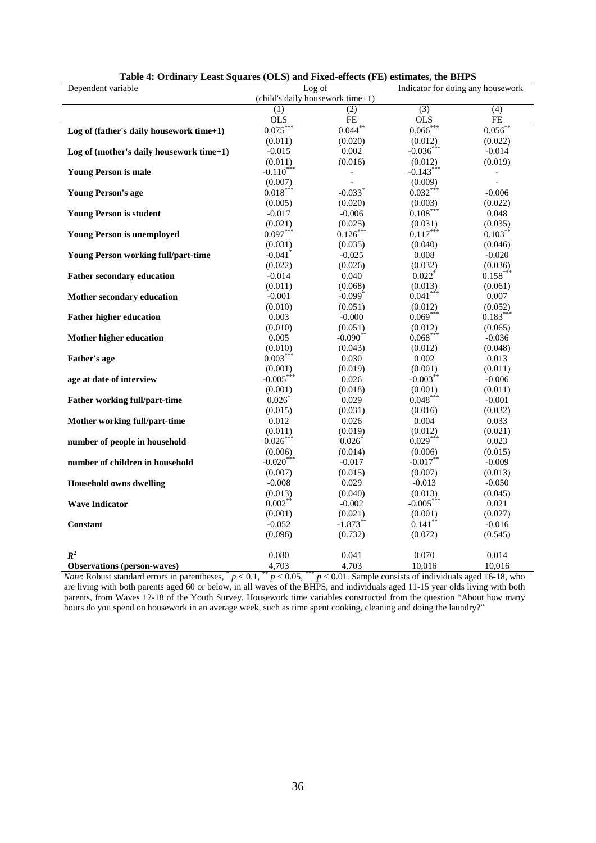| Dependent variable                         | Table 4: Ordinary Least Squares (OLS) and Fixed-effects (FL) estimates, the Drifts<br>Log of<br>Indicator for doing any housework |                       |                       |                          |  |
|--------------------------------------------|-----------------------------------------------------------------------------------------------------------------------------------|-----------------------|-----------------------|--------------------------|--|
|                                            | (child's daily housework time+1)                                                                                                  |                       |                       |                          |  |
|                                            | (1)                                                                                                                               | (2)                   | $\overline{(3)}$      | (4)                      |  |
|                                            | <b>OLS</b>                                                                                                                        | FE                    | <b>OLS</b>            | FE                       |  |
| Log of (father's daily housework time+1)   | 0.075                                                                                                                             | 0.044                 | 0.066                 | 0.056                    |  |
|                                            | (0.011)                                                                                                                           | (0.020)               | (0.012)               | (0.022)                  |  |
| Log of (mother's daily housework time+1)   | $-0.015$                                                                                                                          | 0.002                 | $-0.036***$           | $-0.014$                 |  |
|                                            | (0.011)                                                                                                                           | (0.016)               | (0.012)               | (0.019)                  |  |
| <b>Young Person is male</b>                | $-0.110***$                                                                                                                       | $\frac{1}{2}$         | $-0.143***$           | $\overline{\phantom{a}}$ |  |
|                                            | (0.007)                                                                                                                           |                       | (0.009)               |                          |  |
| <b>Young Person's age</b>                  | $0.018***$                                                                                                                        | $-0.033$ <sup>*</sup> | $0.032***$            | $-0.006$                 |  |
|                                            | (0.005)                                                                                                                           | (0.020)               | (0.003)               | (0.022)                  |  |
| <b>Young Person is student</b>             | $-0.017$                                                                                                                          | $-0.006$              | $0.108***$            | 0.048                    |  |
|                                            | (0.021)                                                                                                                           | (0.025)               | (0.031)               | (0.035)                  |  |
| <b>Young Person is unemployed</b>          | $0.097***$                                                                                                                        | $0.126***$            | $0.117***$            | $0.103***$               |  |
|                                            | (0.031)                                                                                                                           | (0.035)               | (0.040)               | (0.046)                  |  |
| <b>Young Person working full/part-time</b> | $-0.041$ <sup>*</sup>                                                                                                             | $-0.025$              | 0.008                 | $-0.020$                 |  |
|                                            | (0.022)                                                                                                                           | (0.026)               | (0.032)               | (0.036)                  |  |
| <b>Father secondary education</b>          | $-0.014$                                                                                                                          | 0.040                 | $0.022$ <sup>*</sup>  | $0.158***$               |  |
|                                            | (0.011)                                                                                                                           | (0.068)               | (0.013)               |                          |  |
|                                            |                                                                                                                                   | $-0.099$ <sup>*</sup> | $0.041***$            | (0.061)                  |  |
| Mother secondary education                 | $-0.001$                                                                                                                          |                       |                       | 0.007                    |  |
|                                            | (0.010)                                                                                                                           | (0.051)               | (0.012)<br>$0.069***$ | (0.052)                  |  |
| <b>Father higher education</b>             | 0.003                                                                                                                             | $-0.000$              |                       | $0.183***$               |  |
|                                            | (0.010)                                                                                                                           | (0.051)               | (0.012)               | (0.065)                  |  |
| Mother higher education                    | 0.005                                                                                                                             | $-0.090$ **           | $0.068***$            | $-0.036$                 |  |
|                                            | (0.010)                                                                                                                           | (0.043)               | (0.012)               | (0.048)                  |  |
| <b>Father's age</b>                        | $0.003***$                                                                                                                        | 0.030                 | 0.002                 | 0.013                    |  |
|                                            | (0.001)                                                                                                                           | (0.019)               | (0.001)               | (0.011)                  |  |
| age at date of interview                   | $-0.005***$                                                                                                                       | 0.026                 | $-0.003$ **           | $-0.006$                 |  |
|                                            | (0.001)                                                                                                                           | (0.018)               | (0.001)               | (0.011)                  |  |
| <b>Father working full/part-time</b>       | 0.026                                                                                                                             | 0.029                 | $0.048***$            | $-0.001$                 |  |
|                                            | (0.015)                                                                                                                           | (0.031)               | (0.016)               | (0.032)                  |  |
| Mother working full/part-time              | 0.012                                                                                                                             | 0.026                 | 0.004                 | 0.033                    |  |
|                                            | (0.011)                                                                                                                           | (0.019)               | (0.012)               | (0.021)                  |  |
| number of people in household              | $0.026***$                                                                                                                        | $0.026*$              | $0.029***$            | 0.023                    |  |
|                                            | (0.006)                                                                                                                           | (0.014)               | (0.006)               | (0.015)                  |  |
| number of children in household            | $-0.020$ ***                                                                                                                      | $-0.017$              | $-0.017**$            | $-0.009$                 |  |
|                                            | (0.007)                                                                                                                           | (0.015)               | (0.007)               | (0.013)                  |  |
| <b>Household owns dwelling</b>             | $-0.008$                                                                                                                          | 0.029                 | $-0.013$              | $-0.050$                 |  |
|                                            | (0.013)                                                                                                                           | (0.040)               | (0.013)               | (0.045)                  |  |
| <b>Wave Indicator</b>                      | $0.002$ **                                                                                                                        | $-0.002$              | $-0.005***$           | 0.021                    |  |
|                                            | (0.001)                                                                                                                           | (0.021)               | (0.001)               | (0.027)                  |  |
| <b>Constant</b>                            | $-0.052$                                                                                                                          | $-1.873***$           | $0.141$ **            | $-0.016$                 |  |
|                                            | (0.096)                                                                                                                           | (0.732)               | (0.072)               | (0.545)                  |  |
|                                            |                                                                                                                                   |                       |                       |                          |  |
| $R^2$                                      | 0.080                                                                                                                             | 0.041                 | 0.070                 | 0.014                    |  |
| <b>Observations</b> (person-waves)         | 4,703                                                                                                                             | 4,703                 | 10,016                | 10,016                   |  |

| Table 4: Ordinary Least Squares (OLS) and Fixed-effects (FE) estimates, the BHPS |  |  |  |
|----------------------------------------------------------------------------------|--|--|--|
|                                                                                  |  |  |  |

*Note*: Robust standard errors in parentheses, \* *p* < 0.1, \*\* *p* < 0.05, \*\*\* *p* < 0.01. Sample consists of individuals aged 16-18, who are living with both parents aged 60 or below, in all waves of the BHPS, and individuals aged 11-15 year olds living with both parents, from Waves 12-18 of the Youth Survey. Housework time variables constructed from the question "About how many hours do you spend on housework in an average week, such as time spent cooking, cleaning and doing the laundry?"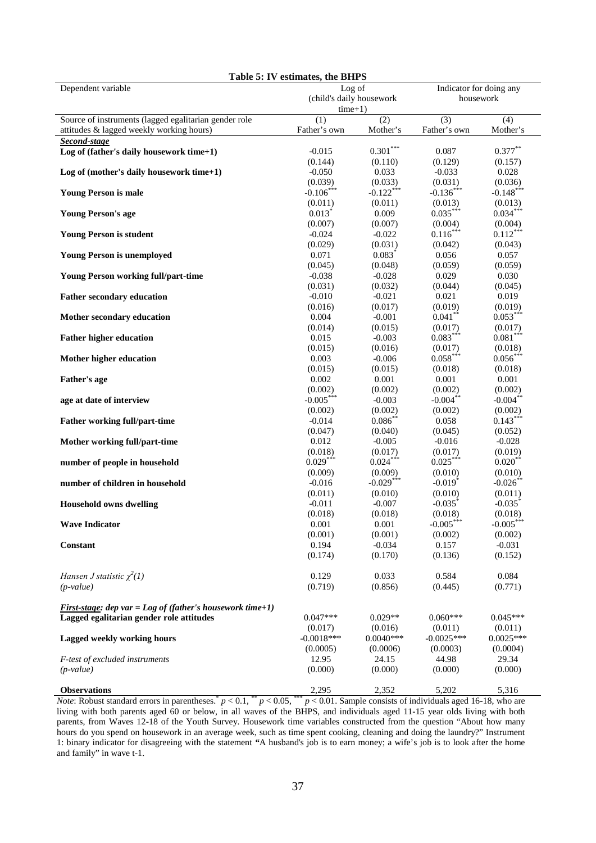| Table 5: IV estimates, the BHPS                                  |                          |              |                         |                       |  |
|------------------------------------------------------------------|--------------------------|--------------|-------------------------|-----------------------|--|
| Dependent variable                                               | Log of                   |              | Indicator for doing any |                       |  |
|                                                                  | (child's daily housework |              | housework               |                       |  |
|                                                                  | $time+1)$                |              |                         |                       |  |
| Source of instruments (lagged egalitarian gender role            | (1)                      | (2)          | $\overline{(3)}$        | $\overline{(4)}$      |  |
| attitudes & lagged weekly working hours)                         |                          |              |                         |                       |  |
|                                                                  | Father's own             | Mother's     | Father's own            | Mother's              |  |
| Second-stage                                                     |                          |              |                         |                       |  |
| Log of (father's daily housework time+1)                         | $-0.015$                 | $0.301***$   | 0.087                   | $0.377***$            |  |
|                                                                  | (0.144)                  | (0.110)      | (0.129)                 | (0.157)               |  |
| Log of (mother's daily housework time+1)                         | $-0.050$                 | 0.033        | $-0.033$                | 0.028                 |  |
|                                                                  | (0.039)                  | (0.033)      | (0.031)                 | (0.036)               |  |
| <b>Young Person is male</b>                                      | $-0.106$ ***             | $-0.122$ *** | $-0.136***$             | $-0.148$ **           |  |
|                                                                  | (0.011)                  | (0.011)      | (0.013)                 | (0.013)               |  |
| <b>Young Person's age</b>                                        | $0.013^*$                | 0.009        | $0.035***$              | $0.034***$            |  |
|                                                                  | (0.007)                  | (0.007)      | (0.004)                 |                       |  |
|                                                                  |                          |              | $0.116***$              | (0.004)               |  |
| <b>Young Person is student</b>                                   | $-0.024$                 | $-0.022$     |                         | $0.112***$            |  |
|                                                                  | (0.029)                  | (0.031)      | (0.042)                 | (0.043)               |  |
| <b>Young Person is unemployed</b>                                | 0.071                    | $0.083*$     | 0.056                   | 0.057                 |  |
|                                                                  | (0.045)                  | (0.048)      | (0.059)                 | (0.059)               |  |
| <b>Young Person working full/part-time</b>                       | $-0.038$                 | $-0.028$     | 0.029                   | 0.030                 |  |
|                                                                  | (0.031)                  | (0.032)      | (0.044)                 | (0.045)               |  |
| <b>Father secondary education</b>                                | $-0.010$                 | $-0.021$     | 0.021                   | 0.019                 |  |
|                                                                  | (0.016)                  | (0.017)      | (0.019)                 | (0.019)               |  |
| Mother secondary education                                       | 0.004                    | $-0.001$     | $0.041$ **              | $0.053***$            |  |
|                                                                  |                          |              |                         |                       |  |
|                                                                  | (0.014)                  | (0.015)      | (0.017)                 | (0.017)               |  |
| <b>Father higher education</b>                                   | 0.015                    | $-0.003$     | $0.083***$              | $0.081***$            |  |
|                                                                  | (0.015)                  | (0.016)      | (0.017)                 | (0.018)               |  |
| Mother higher education                                          | 0.003                    | $-0.006$     | $0.058***$              | $0.056***$            |  |
|                                                                  | (0.015)                  | (0.015)      | (0.018)                 | (0.018)               |  |
| <b>Father's age</b>                                              | 0.002                    | 0.001        | 0.001                   | 0.001                 |  |
|                                                                  | (0.002)                  | (0.002)      | (0.002)                 | (0.002)               |  |
| age at date of interview                                         | $-0.005***$              | $-0.003$     | $-0.004$ **             | $-0.004$ **           |  |
|                                                                  | (0.002)                  | (0.002)      | (0.002)                 | (0.002)               |  |
|                                                                  | $-0.014$                 | $0.086*$     | 0.058                   | $0.143***$            |  |
| Father working full/part-time                                    |                          |              |                         |                       |  |
|                                                                  | (0.047)                  | (0.040)      | (0.045)                 | (0.052)               |  |
| Mother working full/part-time                                    | 0.012                    | $-0.005$     | $-0.016$                | $-0.028$              |  |
|                                                                  | (0.018)                  | (0.017)      | (0.017)                 | (0.019)               |  |
| number of people in household                                    | $0.029***$               | $0.024***$   | $0.025***$              | $0.020$ **            |  |
|                                                                  | (0.009)                  | (0.009)      | (0.010)                 | (0.010)               |  |
| number of children in household                                  | $-0.016$                 | $-0.029***$  | $-0.019$ <sup>*</sup>   | $-0.026$ **           |  |
|                                                                  | (0.011)                  | (0.010)      | (0.010)                 | (0.011)               |  |
| <b>Household owns dwelling</b>                                   | $-0.011$                 | $-0.007$     | $-0.035$                | $-0.035$ <sup>*</sup> |  |
|                                                                  | (0.018)                  | (0.018)      | (0.018)                 | (0.018)               |  |
| <b>Wave Indicator</b>                                            | 0.001                    | 0.001        | $-0.005***$             | $-0.005***$           |  |
|                                                                  |                          |              |                         |                       |  |
|                                                                  | (0.001)                  | (0.001)      | (0.002)                 | (0.002)               |  |
| Constant                                                         | 0.194                    | $-0.034$     | 0.157                   | $-0.031$              |  |
|                                                                  | (0.174)                  | (0.170)      | (0.136)                 | (0.152)               |  |
|                                                                  |                          |              |                         |                       |  |
| Hansen J statistic $\chi^2(1)$                                   | 0.129                    | 0.033        | 0.584                   | 0.084                 |  |
| $(p-value)$                                                      | (0.719)                  | (0.856)      | (0.445)                 | (0.771)               |  |
|                                                                  |                          |              |                         |                       |  |
| <b>First-stage:</b> dep var = Log of (father's housework time+1) |                          |              |                         |                       |  |
| Lagged egalitarian gender role attitudes                         | $0.047***$               | $0.029**$    | $0.060***$              | $0.045***$            |  |
|                                                                  | (0.017)                  | (0.016)      | (0.011)                 | (0.011)               |  |
|                                                                  |                          |              |                         |                       |  |
| Lagged weekly working hours                                      | $-0.0018***$             | $0.0040***$  | $-0.0025***$            | $0.0025***$           |  |
|                                                                  | (0.0005)                 | (0.0006)     | (0.0003)                | (0.0004)              |  |
| F-test of excluded instruments                                   | 12.95                    | 24.15        | 44.98                   | 29.34                 |  |
| $(p-value)$                                                      | (0.000)                  | (0.000)      | (0.000)                 | (0.000)               |  |
|                                                                  |                          |              |                         |                       |  |
| <b>Observations</b>                                              | 2,295                    | 2,352        | 5,202                   | 5,316                 |  |

*Note*: Robust standard errors in parentheses.<sup>\*</sup>  $p < 0.1$ ,  $*$   $p < 0.05$ ,  $*$  $p < 0.01$ . Sample consists of individuals aged 16-18, who are living with both parents aged 60 or below, in all waves of the BHPS, and individuals aged 11-15 year olds living with both parents, from Waves 12-18 of the Youth Survey. Housework time variables constructed from the question "About how many hours do you spend on housework in an average week, such as time spent cooking, cleaning and doing the laundry?" Instrument 1: binary indicator for disagreeing with the statement *"*A husband's job is to earn money; a wife's job is to look after the home and family" in wave t-1.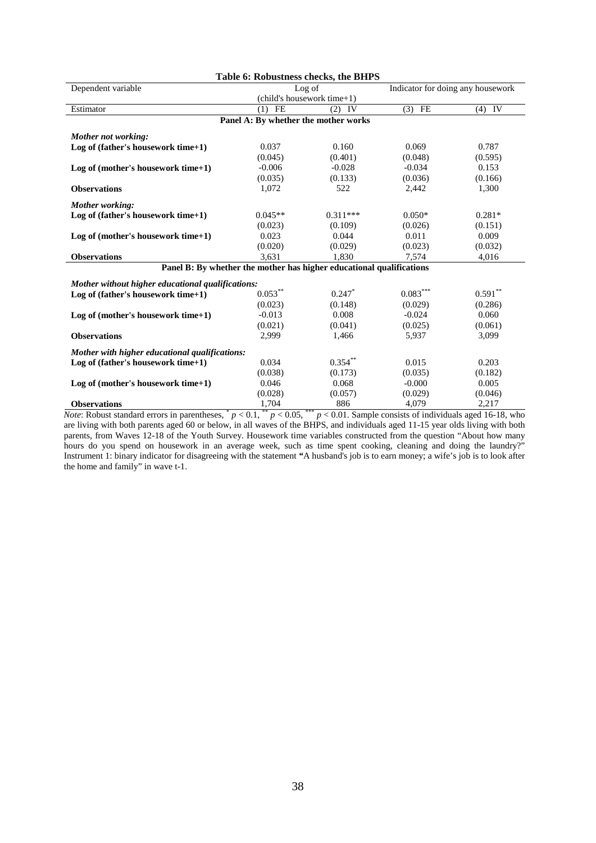| Table 6: Robustness checks, the BHPS                                 |                                      |                            |                                   |           |  |  |
|----------------------------------------------------------------------|--------------------------------------|----------------------------|-----------------------------------|-----------|--|--|
| Dependent variable                                                   |                                      | Log of                     | Indicator for doing any housework |           |  |  |
|                                                                      |                                      | (child's housework time+1) |                                   |           |  |  |
| Estimator                                                            | FE<br>(1)                            | IV<br>(2)                  | $(3)$ FE                          | $(4)$ IV  |  |  |
|                                                                      | Panel A: By whether the mother works |                            |                                   |           |  |  |
| Mother not working:                                                  |                                      |                            |                                   |           |  |  |
| Log of (father's housework time+1)                                   | 0.037                                | 0.160                      | 0.069                             | 0.787     |  |  |
|                                                                      | (0.045)                              | (0.401)                    | (0.048)                           | (0.595)   |  |  |
| Log of (mother's housework time+1)                                   | $-0.006$                             | $-0.028$                   | $-0.034$                          | 0.153     |  |  |
|                                                                      | (0.035)                              | (0.133)                    | (0.036)                           | (0.166)   |  |  |
| <b>Observations</b>                                                  | 1,072                                | 522                        | 2,442                             | 1,300     |  |  |
| Mother working:                                                      |                                      |                            |                                   |           |  |  |
| Log of (father's housework time+1)                                   | $0.045**$                            | $0.311***$                 | $0.050*$                          | $0.281*$  |  |  |
|                                                                      | (0.023)                              | (0.109)                    | (0.026)                           | (0.151)   |  |  |
| Log of (mother's housework time+1)                                   | 0.023                                | 0.044                      | 0.011                             | 0.009     |  |  |
|                                                                      | (0.020)                              | (0.029)                    | (0.023)                           | (0.032)   |  |  |
| <b>Observations</b>                                                  | 3,631                                | 1,830                      | 7,574                             | 4,016     |  |  |
| Panel B: By whether the mother has higher educational qualifications |                                      |                            |                                   |           |  |  |
| Mother without higher educational qualifications:                    |                                      |                            |                                   |           |  |  |
| Log of (father's housework time+1)                                   | $0.053^{**}$                         | $0.247$ *                  | $0.083^{***}$                     | $0.591**$ |  |  |
|                                                                      | (0.023)                              | (0.148)                    | (0.029)                           | (0.286)   |  |  |
| Log of (mother's housework time+1)                                   | $-0.013$                             | 0.008                      | $-0.024$                          | 0.060     |  |  |
|                                                                      | (0.021)                              | (0.041)                    | (0.025)                           | (0.061)   |  |  |
| <b>Observations</b>                                                  | 2,999                                | 1,466                      | 5,937                             | 3,099     |  |  |
|                                                                      |                                      |                            |                                   |           |  |  |
| Mother with higher educational qualifications:                       |                                      |                            |                                   |           |  |  |
| Log of (father's housework time+1)                                   | 0.034                                | $0.354***$                 | 0.015                             | 0.203     |  |  |
|                                                                      | (0.038)                              | (0.173)                    | (0.035)                           | (0.182)   |  |  |
| Log of (mother's housework time+1)                                   | 0.046                                | 0.068                      | $-0.000$                          | 0.005     |  |  |
|                                                                      | (0.028)                              | (0.057)                    | (0.029)                           | (0.046)   |  |  |
| <b>Observations</b>                                                  | 1,704                                | 886                        | 4,079                             | 2,217     |  |  |

*Note*: Robust standard errors in parentheses,  $p < 0.1$ ,  $p < 0.05$ ,  $p < 0.01$ . Sample consists of individuals aged 16-18, who are living with both parents aged 60 or below, in all waves of the BHPS, and individuals aged 11-15 year olds living with both parents, from Waves 12-18 of the Youth Survey. Housework time variables constructed from the question "About how many hours do you spend on housework in an average week, such as time spent cooking, cleaning and doing the laundry?" Instrument 1: binary indicator for disagreeing with the statement *"*A husband's job is to earn money; a wife's job is to look after the home and family" in wave t-1.